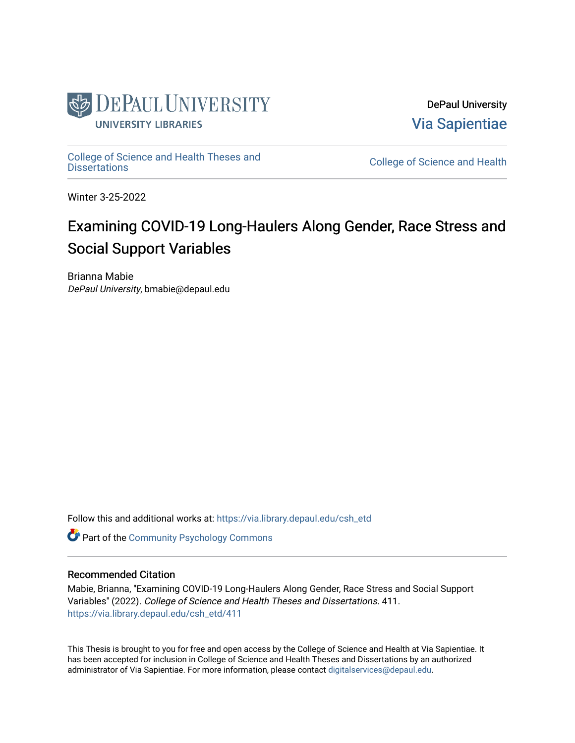

DePaul University [Via Sapientiae](https://via.library.depaul.edu/) 

College of Science and Health Theses and<br>Dissertations

College of Science and Health

Winter 3-25-2022

# Examining COVID-19 Long-Haulers Along Gender, Race Stress and Social Support Variables

Brianna Mabie DePaul University, bmabie@depaul.edu

Follow this and additional works at: [https://via.library.depaul.edu/csh\\_etd](https://via.library.depaul.edu/csh_etd?utm_source=via.library.depaul.edu%2Fcsh_etd%2F411&utm_medium=PDF&utm_campaign=PDFCoverPages) 

**Part of the Community Psychology Commons** 

#### Recommended Citation

Mabie, Brianna, "Examining COVID-19 Long-Haulers Along Gender, Race Stress and Social Support Variables" (2022). College of Science and Health Theses and Dissertations. 411. [https://via.library.depaul.edu/csh\\_etd/411](https://via.library.depaul.edu/csh_etd/411?utm_source=via.library.depaul.edu%2Fcsh_etd%2F411&utm_medium=PDF&utm_campaign=PDFCoverPages) 

This Thesis is brought to you for free and open access by the College of Science and Health at Via Sapientiae. It has been accepted for inclusion in College of Science and Health Theses and Dissertations by an authorized administrator of Via Sapientiae. For more information, please contact [digitalservices@depaul.edu.](mailto:digitalservices@depaul.edu)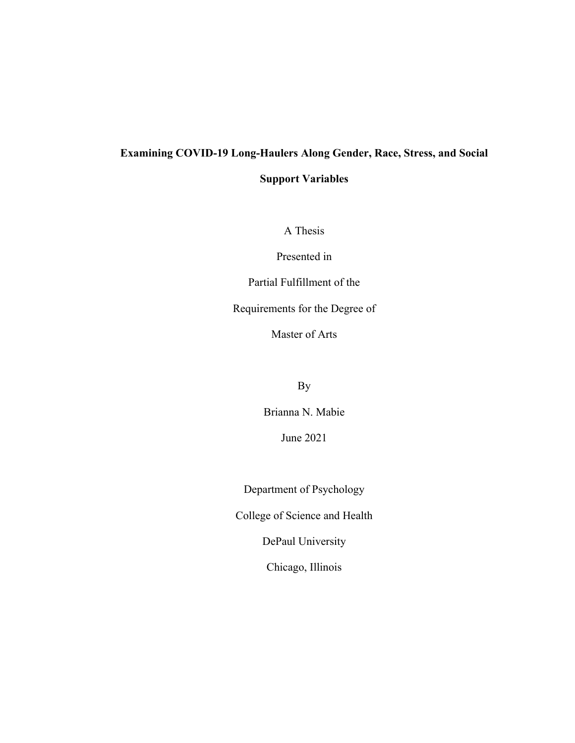# **Examining COVID-19 Long-Haulers Along Gender, Race, Stress, and Social**

**Support Variables**

A Thesis

Presented in

Partial Fulfillment of the

Requirements for the Degree of

Master of Arts

By

Brianna N. Mabie

June 2021

Department of Psychology

College of Science and Health

DePaul University

Chicago, Illinois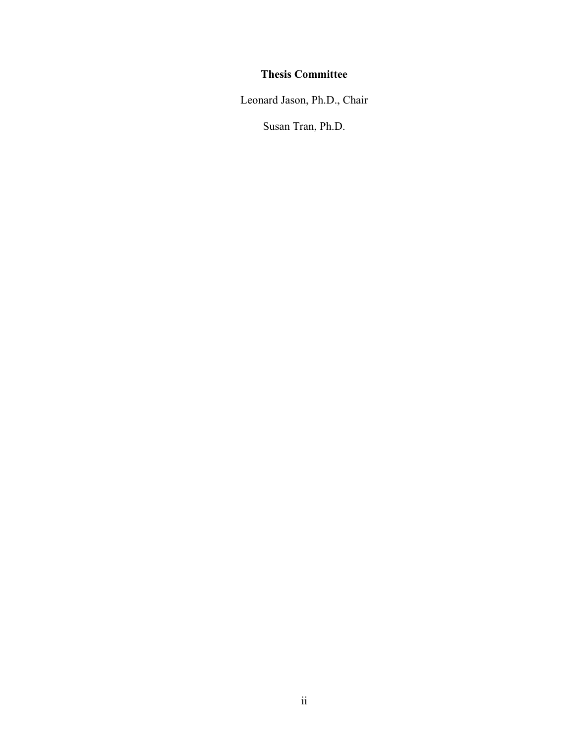# **Thesis Committee**

Leonard Jason, Ph.D., Chair

Susan Tran, Ph.D.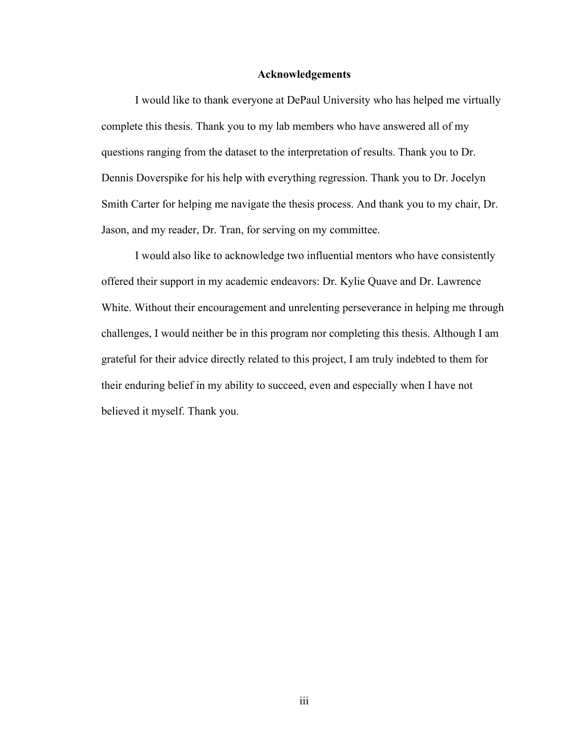#### **Acknowledgements**

I would like to thank everyone at DePaul University who has helped me virtually complete this thesis. Thank you to my lab members who have answered all of my questions ranging from the dataset to the interpretation of results. Thank you to Dr. Dennis Doverspike for his help with everything regression. Thank you to Dr. Jocelyn Smith Carter for helping me navigate the thesis process. And thank you to my chair, Dr. Jason, and my reader, Dr. Tran, for serving on my committee.

I would also like to acknowledge two influential mentors who have consistently offered their support in my academic endeavors: Dr. Kylie Quave and Dr. Lawrence White. Without their encouragement and unrelenting perseverance in helping me through challenges, I would neither be in this program nor completing this thesis. Although I am grateful for their advice directly related to this project, I am truly indebted to them for their enduring belief in my ability to succeed, even and especially when I have not believed it myself. Thank you.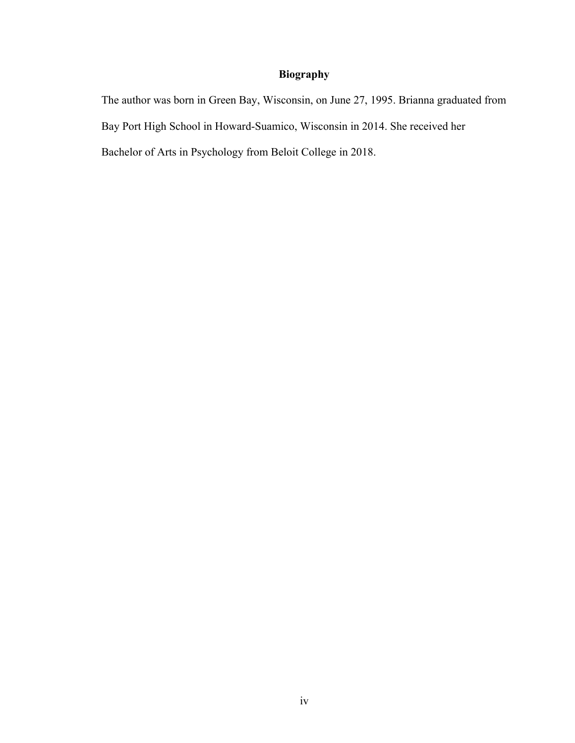## **Biography**

The author was born in Green Bay, Wisconsin, on June 27, 1995. Brianna graduated from Bay Port High School in Howard-Suamico, Wisconsin in 2014. She received her Bachelor of Arts in Psychology from Beloit College in 2018.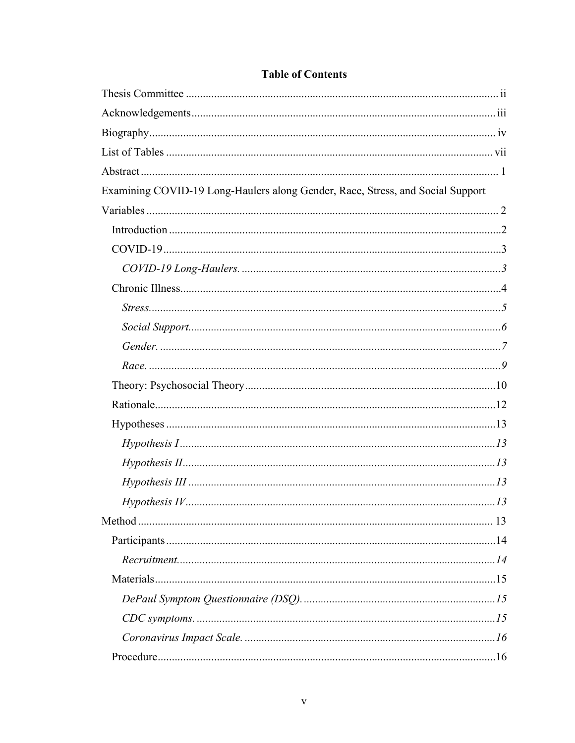| Examining COVID-19 Long-Haulers along Gender, Race, Stress, and Social Support |  |
|--------------------------------------------------------------------------------|--|
|                                                                                |  |
|                                                                                |  |
|                                                                                |  |
|                                                                                |  |
|                                                                                |  |
|                                                                                |  |
|                                                                                |  |
|                                                                                |  |
|                                                                                |  |
|                                                                                |  |
|                                                                                |  |
|                                                                                |  |
|                                                                                |  |
|                                                                                |  |
|                                                                                |  |
|                                                                                |  |
|                                                                                |  |
|                                                                                |  |
|                                                                                |  |
|                                                                                |  |
|                                                                                |  |
|                                                                                |  |
|                                                                                |  |
|                                                                                |  |

## **Table of Contents**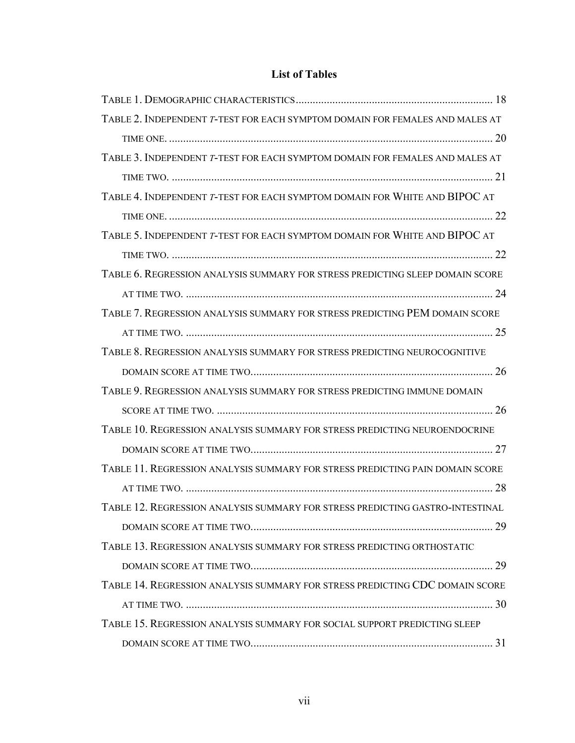## **List of Tables**

| TABLE 2. INDEPENDENT T-TEST FOR EACH SYMPTOM DOMAIN FOR FEMALES AND MALES AT  |
|-------------------------------------------------------------------------------|
|                                                                               |
| TABLE 3. INDEPENDENT T-TEST FOR EACH SYMPTOM DOMAIN FOR FEMALES AND MALES AT  |
|                                                                               |
| TABLE 4. INDEPENDENT T-TEST FOR EACH SYMPTOM DOMAIN FOR WHITE AND BIPOC AT    |
|                                                                               |
| TABLE 5. INDEPENDENT T-TEST FOR EACH SYMPTOM DOMAIN FOR WHITE AND BIPOC AT    |
|                                                                               |
| TABLE 6. REGRESSION ANALYSIS SUMMARY FOR STRESS PREDICTING SLEEP DOMAIN SCORE |
|                                                                               |
| TABLE 7. REGRESSION ANALYSIS SUMMARY FOR STRESS PREDICTING PEM DOMAIN SCORE   |
|                                                                               |
| TABLE 8. REGRESSION ANALYSIS SUMMARY FOR STRESS PREDICTING NEUROCOGNITIVE     |
|                                                                               |
| TABLE 9. REGRESSION ANALYSIS SUMMARY FOR STRESS PREDICTING IMMUNE DOMAIN      |
|                                                                               |
| TABLE 10. REGRESSION ANALYSIS SUMMARY FOR STRESS PREDICTING NEUROENDOCRINE    |
|                                                                               |
| TABLE 11. REGRESSION ANALYSIS SUMMARY FOR STRESS PREDICTING PAIN DOMAIN SCORE |
|                                                                               |
| TABLE 12. REGRESSION ANALYSIS SUMMARY FOR STRESS PREDICTING GASTRO-INTESTINAL |
|                                                                               |
| TABLE 13. REGRESSION ANALYSIS SUMMARY FOR STRESS PREDICTING ORTHOSTATIC       |
|                                                                               |
| TABLE 14. REGRESSION ANALYSIS SUMMARY FOR STRESS PREDICTING CDC DOMAIN SCORE  |
|                                                                               |
| TABLE 15. REGRESSION ANALYSIS SUMMARY FOR SOCIAL SUPPORT PREDICTING SLEEP     |
|                                                                               |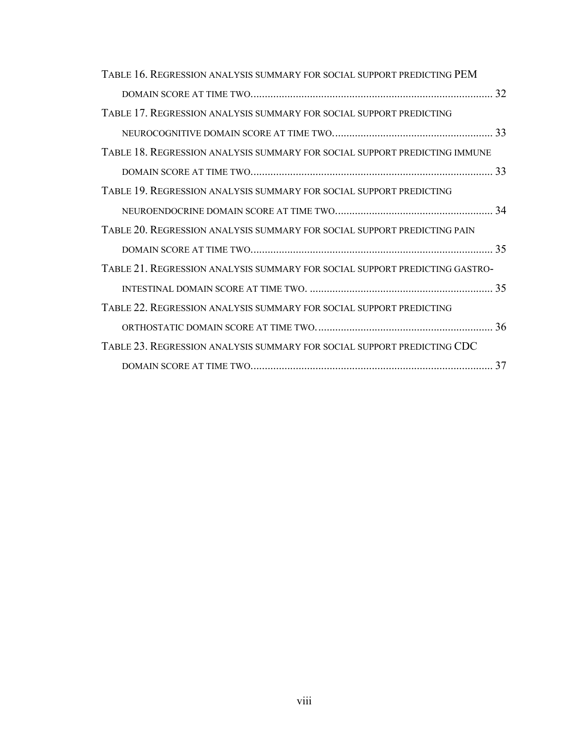| TABLE 16. REGRESSION ANALYSIS SUMMARY FOR SOCIAL SUPPORT PREDICTING PEM     |  |
|-----------------------------------------------------------------------------|--|
|                                                                             |  |
| TABLE 17. REGRESSION ANALYSIS SUMMARY FOR SOCIAL SUPPORT PREDICTING         |  |
|                                                                             |  |
| TABLE 18. REGRESSION ANALYSIS SUMMARY FOR SOCIAL SUPPORT PREDICTING IMMUNE  |  |
|                                                                             |  |
| TABLE 19. REGRESSION ANALYSIS SUMMARY FOR SOCIAL SUPPORT PREDICTING         |  |
|                                                                             |  |
| TABLE 20. REGRESSION ANALYSIS SUMMARY FOR SOCIAL SUPPORT PREDICTING PAIN    |  |
|                                                                             |  |
| TABLE 21. REGRESSION ANALYSIS SUMMARY FOR SOCIAL SUPPORT PREDICTING GASTRO- |  |
|                                                                             |  |
| TABLE 22. REGRESSION ANALYSIS SUMMARY FOR SOCIAL SUPPORT PREDICTING         |  |
|                                                                             |  |
| TABLE 23. REGRESSION ANALYSIS SUMMARY FOR SOCIAL SUPPORT PREDICTING CDC     |  |
|                                                                             |  |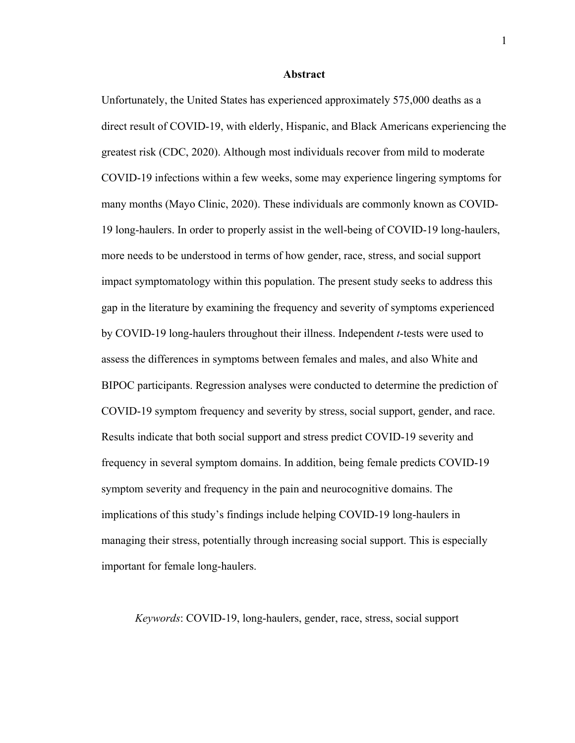#### **Abstract**

Unfortunately, the United States has experienced approximately 575,000 deaths as a direct result of COVID-19, with elderly, Hispanic, and Black Americans experiencing the greatest risk (CDC, 2020). Although most individuals recover from mild to moderate COVID-19 infections within a few weeks, some may experience lingering symptoms for many months (Mayo Clinic, 2020). These individuals are commonly known as COVID-19 long-haulers. In order to properly assist in the well-being of COVID-19 long-haulers, more needs to be understood in terms of how gender, race, stress, and social support impact symptomatology within this population. The present study seeks to address this gap in the literature by examining the frequency and severity of symptoms experienced by COVID-19 long-haulers throughout their illness. Independent *t*-tests were used to assess the differences in symptoms between females and males, and also White and BIPOC participants. Regression analyses were conducted to determine the prediction of COVID-19 symptom frequency and severity by stress, social support, gender, and race. Results indicate that both social support and stress predict COVID-19 severity and frequency in several symptom domains. In addition, being female predicts COVID-19 symptom severity and frequency in the pain and neurocognitive domains. The implications of this study's findings include helping COVID-19 long-haulers in managing their stress, potentially through increasing social support. This is especially important for female long-haulers.

*Keywords*: COVID-19, long-haulers, gender, race, stress, social support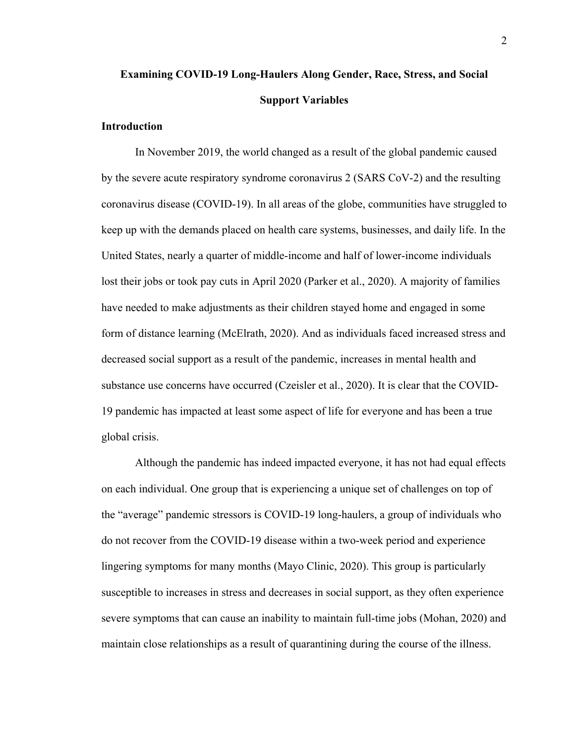# **Examining COVID-19 Long-Haulers Along Gender, Race, Stress, and Social Support Variables**

#### **Introduction**

In November 2019, the world changed as a result of the global pandemic caused by the severe acute respiratory syndrome coronavirus 2 (SARS CoV-2) and the resulting coronavirus disease (COVID-19). In all areas of the globe, communities have struggled to keep up with the demands placed on health care systems, businesses, and daily life. In the United States, nearly a quarter of middle-income and half of lower-income individuals lost their jobs or took pay cuts in April 2020 (Parker et al., 2020). A majority of families have needed to make adjustments as their children stayed home and engaged in some form of distance learning (McElrath, 2020). And as individuals faced increased stress and decreased social support as a result of the pandemic, increases in mental health and substance use concerns have occurred (Czeisler et al., 2020). It is clear that the COVID-19 pandemic has impacted at least some aspect of life for everyone and has been a true global crisis.

Although the pandemic has indeed impacted everyone, it has not had equal effects on each individual. One group that is experiencing a unique set of challenges on top of the "average" pandemic stressors is COVID-19 long-haulers, a group of individuals who do not recover from the COVID-19 disease within a two-week period and experience lingering symptoms for many months (Mayo Clinic, 2020). This group is particularly susceptible to increases in stress and decreases in social support, as they often experience severe symptoms that can cause an inability to maintain full-time jobs (Mohan, 2020) and maintain close relationships as a result of quarantining during the course of the illness.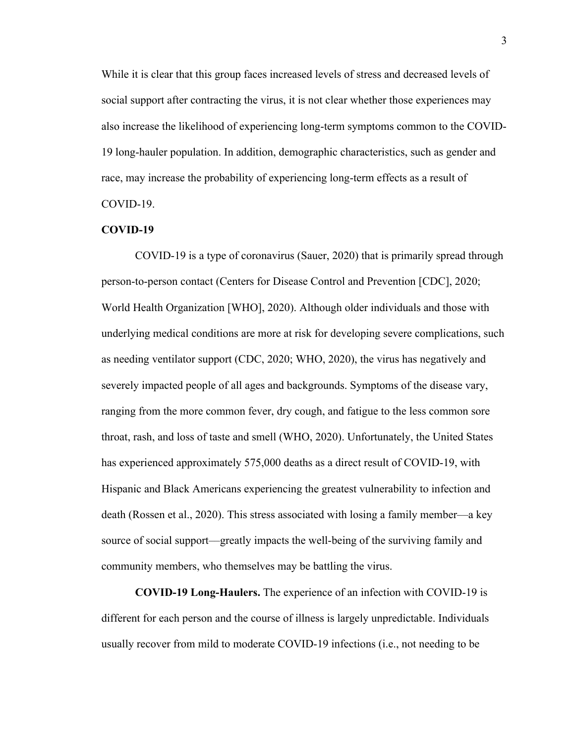While it is clear that this group faces increased levels of stress and decreased levels of social support after contracting the virus, it is not clear whether those experiences may also increase the likelihood of experiencing long-term symptoms common to the COVID-19 long-hauler population. In addition, demographic characteristics, such as gender and race, may increase the probability of experiencing long-term effects as a result of COVID-19.

#### **COVID-19**

COVID-19 is a type of coronavirus (Sauer, 2020) that is primarily spread through person-to-person contact (Centers for Disease Control and Prevention [CDC], 2020; World Health Organization [WHO], 2020). Although older individuals and those with underlying medical conditions are more at risk for developing severe complications, such as needing ventilator support (CDC, 2020; WHO, 2020), the virus has negatively and severely impacted people of all ages and backgrounds. Symptoms of the disease vary, ranging from the more common fever, dry cough, and fatigue to the less common sore throat, rash, and loss of taste and smell (WHO, 2020). Unfortunately, the United States has experienced approximately 575,000 deaths as a direct result of COVID-19, with Hispanic and Black Americans experiencing the greatest vulnerability to infection and death (Rossen et al., 2020). This stress associated with losing a family member––a key source of social support––greatly impacts the well-being of the surviving family and community members, who themselves may be battling the virus.

**COVID-19 Long-Haulers.** The experience of an infection with COVID-19 is different for each person and the course of illness is largely unpredictable. Individuals usually recover from mild to moderate COVID-19 infections (i.e., not needing to be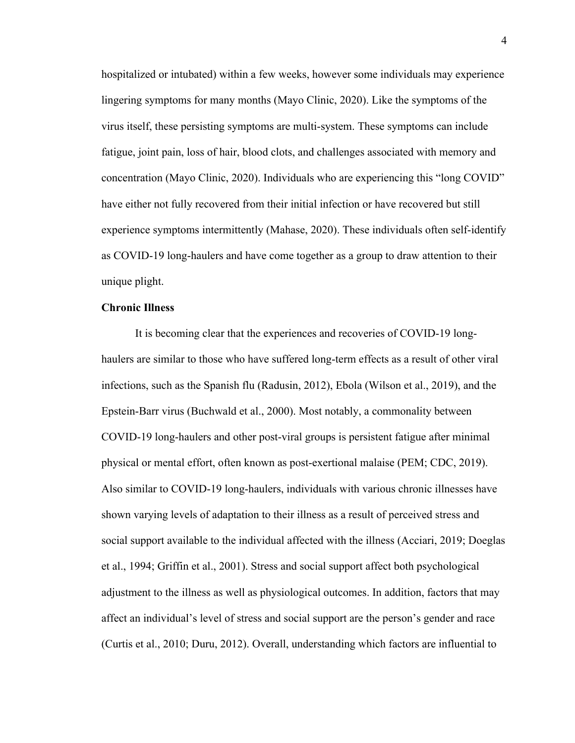hospitalized or intubated) within a few weeks, however some individuals may experience lingering symptoms for many months (Mayo Clinic, 2020). Like the symptoms of the virus itself, these persisting symptoms are multi-system. These symptoms can include fatigue, joint pain, loss of hair, blood clots, and challenges associated with memory and concentration (Mayo Clinic, 2020). Individuals who are experiencing this "long COVID" have either not fully recovered from their initial infection or have recovered but still experience symptoms intermittently (Mahase, 2020). These individuals often self-identify as COVID-19 long-haulers and have come together as a group to draw attention to their unique plight.

#### **Chronic Illness**

It is becoming clear that the experiences and recoveries of COVID-19 longhaulers are similar to those who have suffered long-term effects as a result of other viral infections, such as the Spanish flu (Radusin, 2012), Ebola (Wilson et al., 2019), and the Epstein-Barr virus (Buchwald et al., 2000). Most notably, a commonality between COVID-19 long-haulers and other post-viral groups is persistent fatigue after minimal physical or mental effort, often known as post-exertional malaise (PEM; CDC, 2019). Also similar to COVID-19 long-haulers, individuals with various chronic illnesses have shown varying levels of adaptation to their illness as a result of perceived stress and social support available to the individual affected with the illness (Acciari, 2019; Doeglas et al., 1994; Griffin et al., 2001). Stress and social support affect both psychological adjustment to the illness as well as physiological outcomes. In addition, factors that may affect an individual's level of stress and social support are the person's gender and race (Curtis et al., 2010; Duru, 2012). Overall, understanding which factors are influential to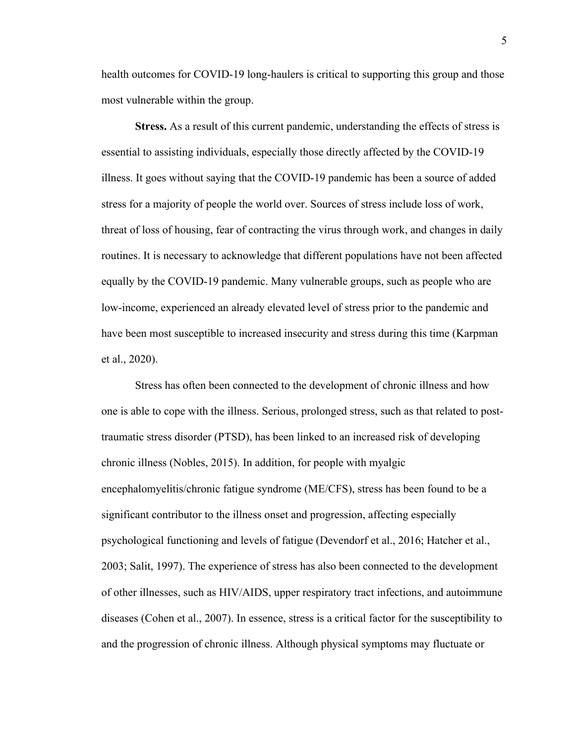health outcomes for COVID-19 long-haulers is critical to supporting this group and those most vulnerable within the group.

**Stress.** As a result of this current pandemic, understanding the effects of stress is essential to assisting individuals, especially those directly affected by the COVID-19 illness. It goes without saying that the COVID-19 pandemic has been a source of added stress for a majority of people the world over. Sources of stress include loss of work, threat of loss of housing, fear of contracting the virus through work, and changes in daily routines. It is necessary to acknowledge that different populations have not been affected equally by the COVID-19 pandemic. Many vulnerable groups, such as people who are low-income, experienced an already elevated level of stress prior to the pandemic and have been most susceptible to increased insecurity and stress during this time (Karpman et al., 2020).

Stress has often been connected to the development of chronic illness and how one is able to cope with the illness. Serious, prolonged stress, such as that related to posttraumatic stress disorder (PTSD), has been linked to an increased risk of developing chronic illness (Nobles, 2015). In addition, for people with myalgic encephalomyelitis/chronic fatigue syndrome (ME/CFS), stress has been found to be a significant contributor to the illness onset and progression, affecting especially psychological functioning and levels of fatigue (Devendorf et al., 2016; Hatcher et al., 2003; Salit, 1997). The experience of stress has also been connected to the development of other illnesses, such as HIV/AIDS, upper respiratory tract infections, and autoimmune diseases (Cohen et al., 2007). In essence, stress is a critical factor for the susceptibility to and the progression of chronic illness. Although physical symptoms may fluctuate or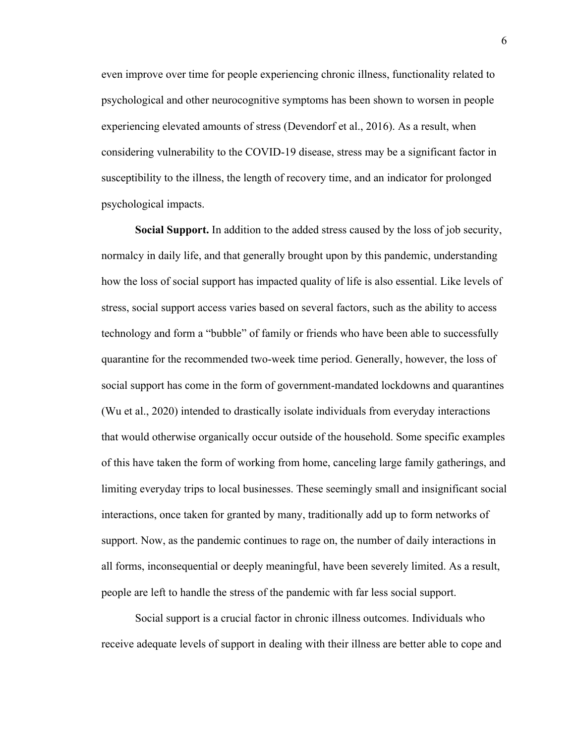even improve over time for people experiencing chronic illness, functionality related to psychological and other neurocognitive symptoms has been shown to worsen in people experiencing elevated amounts of stress (Devendorf et al., 2016). As a result, when considering vulnerability to the COVID-19 disease, stress may be a significant factor in susceptibility to the illness, the length of recovery time, and an indicator for prolonged psychological impacts.

**Social Support.** In addition to the added stress caused by the loss of job security, normalcy in daily life, and that generally brought upon by this pandemic, understanding how the loss of social support has impacted quality of life is also essential. Like levels of stress, social support access varies based on several factors, such as the ability to access technology and form a "bubble" of family or friends who have been able to successfully quarantine for the recommended two-week time period. Generally, however, the loss of social support has come in the form of government-mandated lockdowns and quarantines (Wu et al., 2020) intended to drastically isolate individuals from everyday interactions that would otherwise organically occur outside of the household. Some specific examples of this have taken the form of working from home, canceling large family gatherings, and limiting everyday trips to local businesses. These seemingly small and insignificant social interactions, once taken for granted by many, traditionally add up to form networks of support. Now, as the pandemic continues to rage on, the number of daily interactions in all forms, inconsequential or deeply meaningful, have been severely limited. As a result, people are left to handle the stress of the pandemic with far less social support.

Social support is a crucial factor in chronic illness outcomes. Individuals who receive adequate levels of support in dealing with their illness are better able to cope and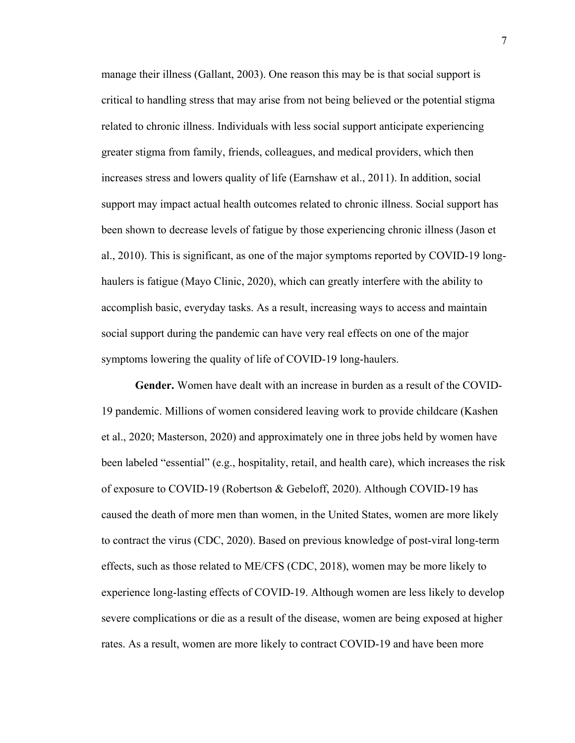manage their illness (Gallant, 2003). One reason this may be is that social support is critical to handling stress that may arise from not being believed or the potential stigma related to chronic illness. Individuals with less social support anticipate experiencing greater stigma from family, friends, colleagues, and medical providers, which then increases stress and lowers quality of life (Earnshaw et al., 2011). In addition, social support may impact actual health outcomes related to chronic illness. Social support has been shown to decrease levels of fatigue by those experiencing chronic illness (Jason et al., 2010). This is significant, as one of the major symptoms reported by COVID-19 longhaulers is fatigue (Mayo Clinic, 2020), which can greatly interfere with the ability to accomplish basic, everyday tasks. As a result, increasing ways to access and maintain social support during the pandemic can have very real effects on one of the major symptoms lowering the quality of life of COVID-19 long-haulers.

**Gender.** Women have dealt with an increase in burden as a result of the COVID-19 pandemic. Millions of women considered leaving work to provide childcare (Kashen et al., 2020; Masterson, 2020) and approximately one in three jobs held by women have been labeled "essential" (e.g., hospitality, retail, and health care), which increases the risk of exposure to COVID-19 (Robertson & Gebeloff, 2020). Although COVID-19 has caused the death of more men than women, in the United States, women are more likely to contract the virus (CDC, 2020). Based on previous knowledge of post-viral long-term effects, such as those related to ME/CFS (CDC, 2018), women may be more likely to experience long-lasting effects of COVID-19. Although women are less likely to develop severe complications or die as a result of the disease, women are being exposed at higher rates. As a result, women are more likely to contract COVID-19 and have been more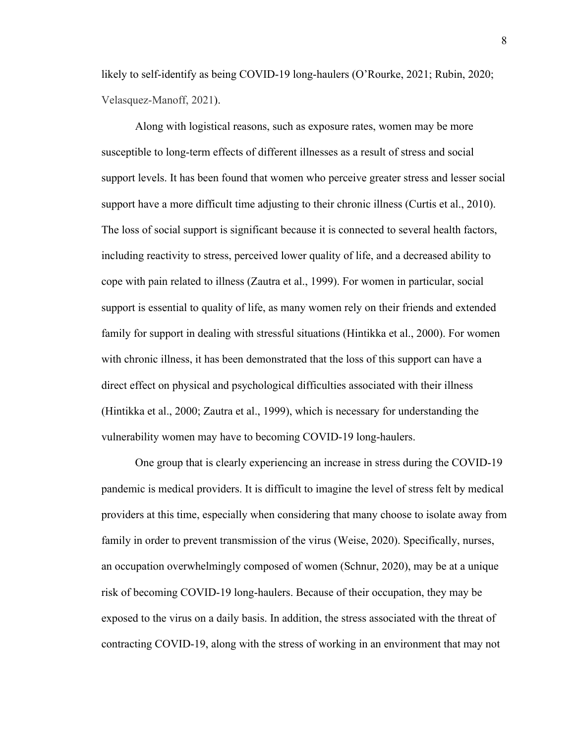likely to self-identify as being COVID-19 long-haulers (O'Rourke, 2021; Rubin, 2020; Velasquez-Manoff, 2021).

Along with logistical reasons, such as exposure rates, women may be more susceptible to long-term effects of different illnesses as a result of stress and social support levels. It has been found that women who perceive greater stress and lesser social support have a more difficult time adjusting to their chronic illness (Curtis et al., 2010). The loss of social support is significant because it is connected to several health factors, including reactivity to stress, perceived lower quality of life, and a decreased ability to cope with pain related to illness (Zautra et al., 1999). For women in particular, social support is essential to quality of life, as many women rely on their friends and extended family for support in dealing with stressful situations (Hintikka et al., 2000). For women with chronic illness, it has been demonstrated that the loss of this support can have a direct effect on physical and psychological difficulties associated with their illness (Hintikka et al., 2000; Zautra et al., 1999), which is necessary for understanding the vulnerability women may have to becoming COVID-19 long-haulers.

One group that is clearly experiencing an increase in stress during the COVID-19 pandemic is medical providers. It is difficult to imagine the level of stress felt by medical providers at this time, especially when considering that many choose to isolate away from family in order to prevent transmission of the virus (Weise, 2020). Specifically, nurses, an occupation overwhelmingly composed of women (Schnur, 2020), may be at a unique risk of becoming COVID-19 long-haulers. Because of their occupation, they may be exposed to the virus on a daily basis. In addition, the stress associated with the threat of contracting COVID-19, along with the stress of working in an environment that may not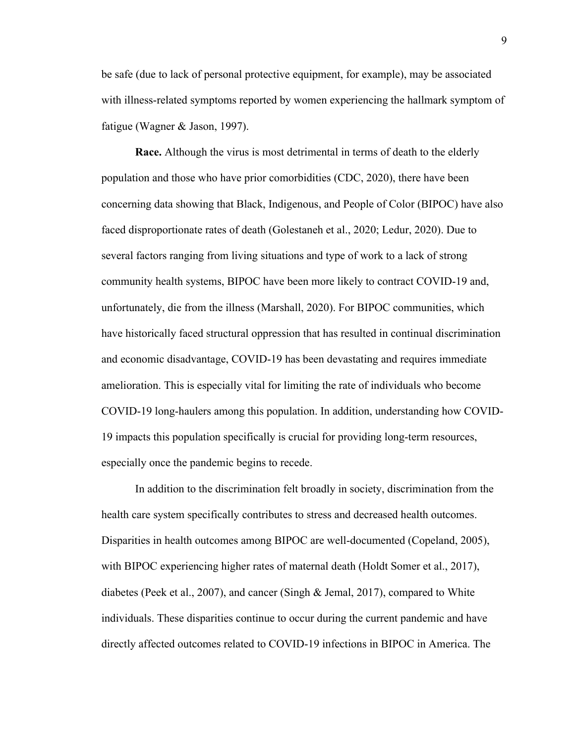be safe (due to lack of personal protective equipment, for example), may be associated with illness-related symptoms reported by women experiencing the hallmark symptom of fatigue (Wagner & Jason, 1997).

**Race.** Although the virus is most detrimental in terms of death to the elderly population and those who have prior comorbidities (CDC, 2020), there have been concerning data showing that Black, Indigenous, and People of Color (BIPOC) have also faced disproportionate rates of death (Golestaneh et al., 2020; Ledur, 2020). Due to several factors ranging from living situations and type of work to a lack of strong community health systems, BIPOC have been more likely to contract COVID-19 and, unfortunately, die from the illness (Marshall, 2020). For BIPOC communities, which have historically faced structural oppression that has resulted in continual discrimination and economic disadvantage, COVID-19 has been devastating and requires immediate amelioration. This is especially vital for limiting the rate of individuals who become COVID-19 long-haulers among this population. In addition, understanding how COVID-19 impacts this population specifically is crucial for providing long-term resources, especially once the pandemic begins to recede.

In addition to the discrimination felt broadly in society, discrimination from the health care system specifically contributes to stress and decreased health outcomes. Disparities in health outcomes among BIPOC are well-documented (Copeland, 2005), with BIPOC experiencing higher rates of maternal death (Holdt Somer et al., 2017), diabetes (Peek et al., 2007), and cancer (Singh & Jemal, 2017), compared to White individuals. These disparities continue to occur during the current pandemic and have directly affected outcomes related to COVID-19 infections in BIPOC in America. The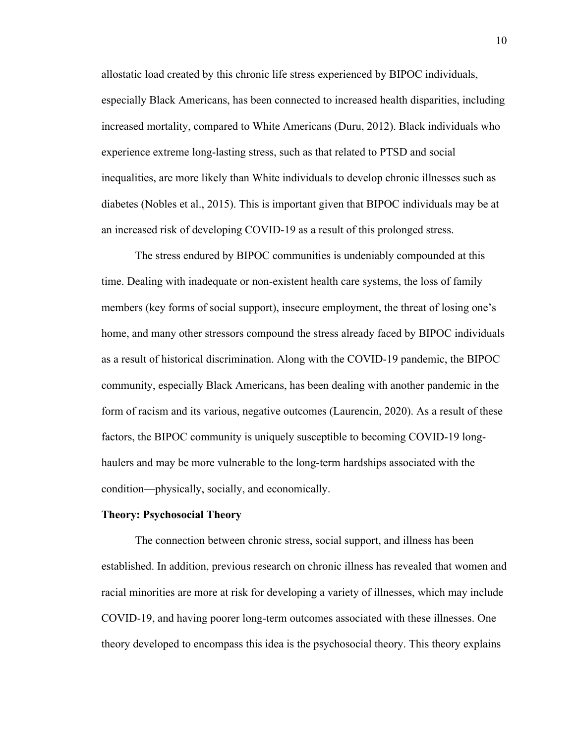allostatic load created by this chronic life stress experienced by BIPOC individuals, especially Black Americans, has been connected to increased health disparities, including increased mortality, compared to White Americans (Duru, 2012). Black individuals who experience extreme long-lasting stress, such as that related to PTSD and social inequalities, are more likely than White individuals to develop chronic illnesses such as diabetes (Nobles et al., 2015). This is important given that BIPOC individuals may be at an increased risk of developing COVID-19 as a result of this prolonged stress.

The stress endured by BIPOC communities is undeniably compounded at this time. Dealing with inadequate or non-existent health care systems, the loss of family members (key forms of social support), insecure employment, the threat of losing one's home, and many other stressors compound the stress already faced by BIPOC individuals as a result of historical discrimination. Along with the COVID-19 pandemic, the BIPOC community, especially Black Americans, has been dealing with another pandemic in the form of racism and its various, negative outcomes (Laurencin, 2020). As a result of these factors, the BIPOC community is uniquely susceptible to becoming COVID-19 longhaulers and may be more vulnerable to the long-term hardships associated with the condition––physically, socially, and economically.

#### **Theory: Psychosocial Theory**

The connection between chronic stress, social support, and illness has been established. In addition, previous research on chronic illness has revealed that women and racial minorities are more at risk for developing a variety of illnesses, which may include COVID-19, and having poorer long-term outcomes associated with these illnesses. One theory developed to encompass this idea is the psychosocial theory. This theory explains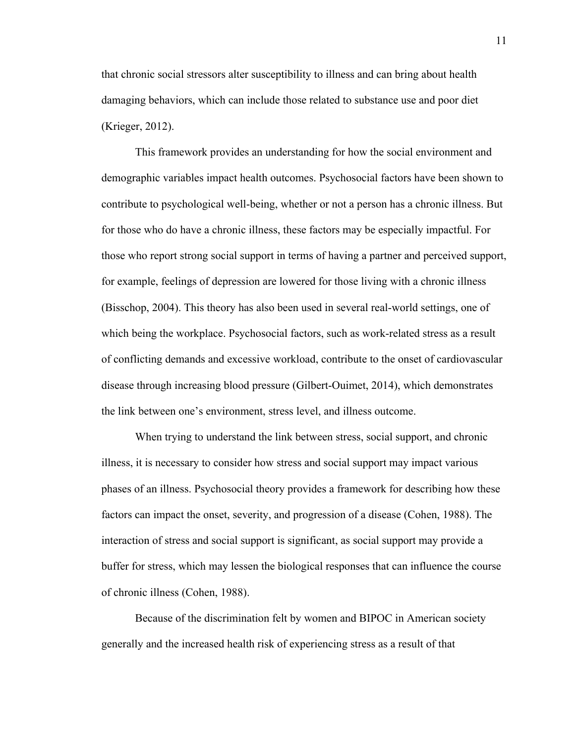that chronic social stressors alter susceptibility to illness and can bring about health damaging behaviors, which can include those related to substance use and poor diet (Krieger, 2012).

This framework provides an understanding for how the social environment and demographic variables impact health outcomes. Psychosocial factors have been shown to contribute to psychological well-being, whether or not a person has a chronic illness. But for those who do have a chronic illness, these factors may be especially impactful. For those who report strong social support in terms of having a partner and perceived support, for example, feelings of depression are lowered for those living with a chronic illness (Bisschop, 2004). This theory has also been used in several real-world settings, one of which being the workplace. Psychosocial factors, such as work-related stress as a result of conflicting demands and excessive workload, contribute to the onset of cardiovascular disease through increasing blood pressure (Gilbert-Ouimet, 2014), which demonstrates the link between one's environment, stress level, and illness outcome.

When trying to understand the link between stress, social support, and chronic illness, it is necessary to consider how stress and social support may impact various phases of an illness. Psychosocial theory provides a framework for describing how these factors can impact the onset, severity, and progression of a disease (Cohen, 1988). The interaction of stress and social support is significant, as social support may provide a buffer for stress, which may lessen the biological responses that can influence the course of chronic illness (Cohen, 1988).

Because of the discrimination felt by women and BIPOC in American society generally and the increased health risk of experiencing stress as a result of that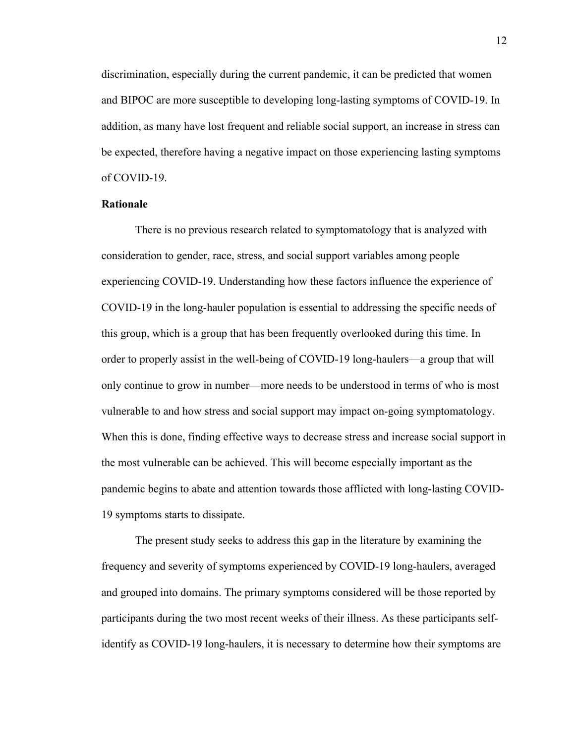discrimination, especially during the current pandemic, it can be predicted that women and BIPOC are more susceptible to developing long-lasting symptoms of COVID-19. In addition, as many have lost frequent and reliable social support, an increase in stress can be expected, therefore having a negative impact on those experiencing lasting symptoms of COVID-19.

#### **Rationale**

There is no previous research related to symptomatology that is analyzed with consideration to gender, race, stress, and social support variables among people experiencing COVID-19. Understanding how these factors influence the experience of COVID-19 in the long-hauler population is essential to addressing the specific needs of this group, which is a group that has been frequently overlooked during this time. In order to properly assist in the well-being of COVID-19 long-haulers––a group that will only continue to grow in number––more needs to be understood in terms of who is most vulnerable to and how stress and social support may impact on-going symptomatology. When this is done, finding effective ways to decrease stress and increase social support in the most vulnerable can be achieved. This will become especially important as the pandemic begins to abate and attention towards those afflicted with long-lasting COVID-19 symptoms starts to dissipate.

The present study seeks to address this gap in the literature by examining the frequency and severity of symptoms experienced by COVID-19 long-haulers, averaged and grouped into domains. The primary symptoms considered will be those reported by participants during the two most recent weeks of their illness. As these participants selfidentify as COVID-19 long-haulers, it is necessary to determine how their symptoms are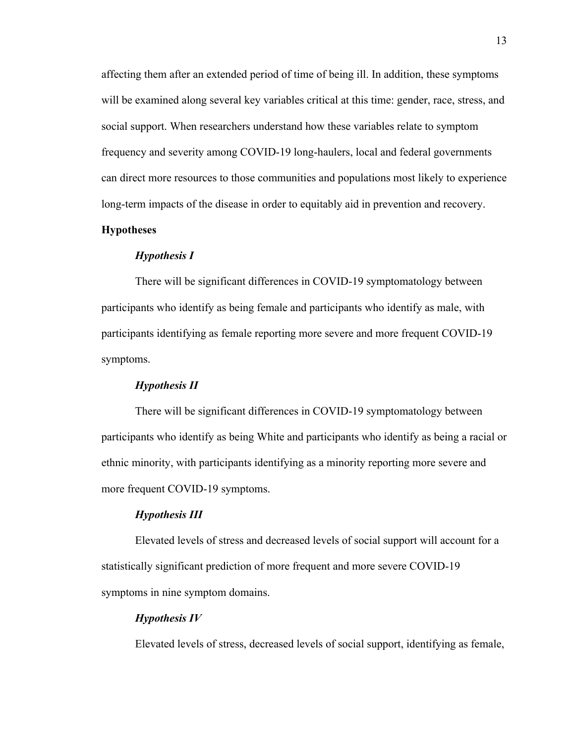affecting them after an extended period of time of being ill. In addition, these symptoms will be examined along several key variables critical at this time: gender, race, stress, and social support. When researchers understand how these variables relate to symptom frequency and severity among COVID-19 long-haulers, local and federal governments can direct more resources to those communities and populations most likely to experience long-term impacts of the disease in order to equitably aid in prevention and recovery.

#### **Hypotheses**

#### *Hypothesis I*

There will be significant differences in COVID-19 symptomatology between participants who identify as being female and participants who identify as male, with participants identifying as female reporting more severe and more frequent COVID-19 symptoms.

#### *Hypothesis II*

There will be significant differences in COVID-19 symptomatology between participants who identify as being White and participants who identify as being a racial or ethnic minority, with participants identifying as a minority reporting more severe and more frequent COVID-19 symptoms.

#### *Hypothesis III*

Elevated levels of stress and decreased levels of social support will account for a statistically significant prediction of more frequent and more severe COVID-19 symptoms in nine symptom domains.

#### *Hypothesis IV*

Elevated levels of stress, decreased levels of social support, identifying as female,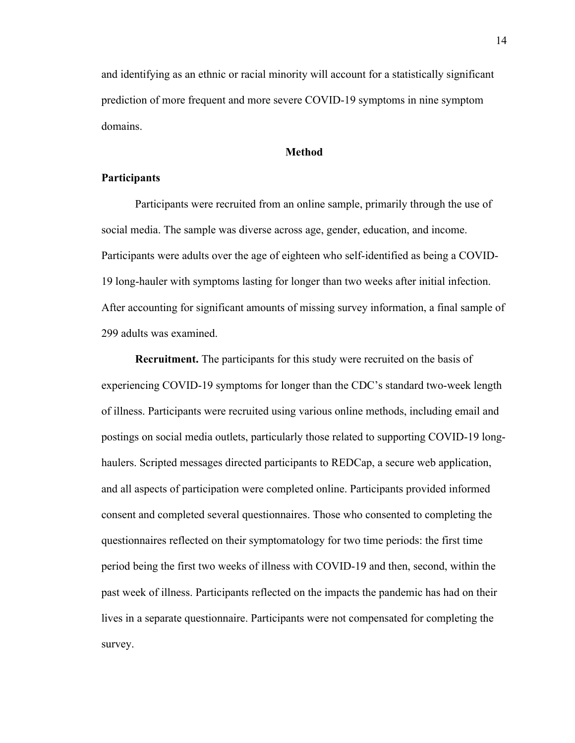and identifying as an ethnic or racial minority will account for a statistically significant prediction of more frequent and more severe COVID-19 symptoms in nine symptom domains.

#### **Method**

#### **Participants**

Participants were recruited from an online sample, primarily through the use of social media. The sample was diverse across age, gender, education, and income. Participants were adults over the age of eighteen who self-identified as being a COVID-19 long-hauler with symptoms lasting for longer than two weeks after initial infection. After accounting for significant amounts of missing survey information, a final sample of 299 adults was examined.

**Recruitment.** The participants for this study were recruited on the basis of experiencing COVID-19 symptoms for longer than the CDC's standard two-week length of illness. Participants were recruited using various online methods, including email and postings on social media outlets, particularly those related to supporting COVID-19 longhaulers. Scripted messages directed participants to REDCap, a secure web application, and all aspects of participation were completed online. Participants provided informed consent and completed several questionnaires. Those who consented to completing the questionnaires reflected on their symptomatology for two time periods: the first time period being the first two weeks of illness with COVID-19 and then, second, within the past week of illness. Participants reflected on the impacts the pandemic has had on their lives in a separate questionnaire. Participants were not compensated for completing the survey.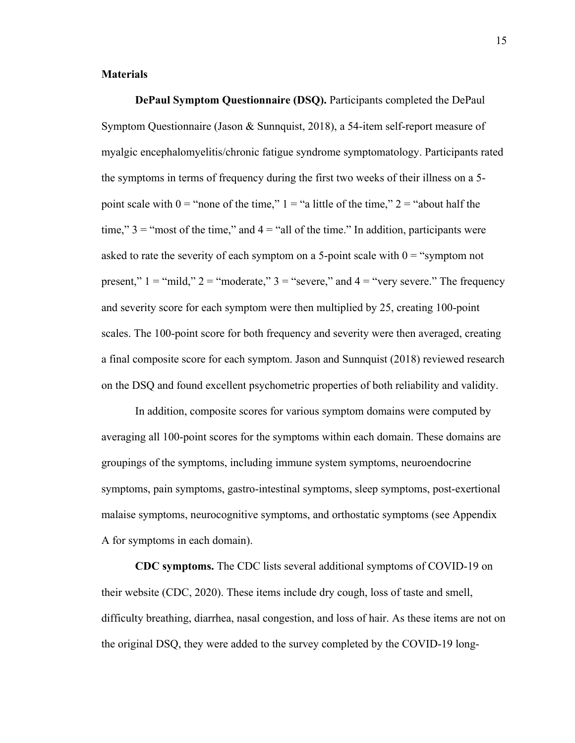#### **Materials**

**DePaul Symptom Questionnaire (DSQ).** Participants completed the DePaul Symptom Questionnaire (Jason & Sunnquist, 2018), a 54-item self-report measure of myalgic encephalomyelitis/chronic fatigue syndrome symptomatology. Participants rated the symptoms in terms of frequency during the first two weeks of their illness on a 5 point scale with  $0 =$  "none of the time,"  $1 =$  "a little of the time,"  $2 =$  "about half the time,"  $3 =$  "most of the time," and  $4 =$  "all of the time." In addition, participants were asked to rate the severity of each symptom on a 5-point scale with  $0 =$  "symptom not present,"  $1 = \text{``mild''}$   $2 = \text{``moderate''}$   $3 = \text{``severe''}$  and  $4 = \text{``very severe''}$  The frequency and severity score for each symptom were then multiplied by 25, creating 100-point scales. The 100-point score for both frequency and severity were then averaged, creating a final composite score for each symptom. Jason and Sunnquist (2018) reviewed research on the DSQ and found excellent psychometric properties of both reliability and validity.

In addition, composite scores for various symptom domains were computed by averaging all 100-point scores for the symptoms within each domain. These domains are groupings of the symptoms, including immune system symptoms, neuroendocrine symptoms, pain symptoms, gastro-intestinal symptoms, sleep symptoms, post-exertional malaise symptoms, neurocognitive symptoms, and orthostatic symptoms (see Appendix A for symptoms in each domain).

**CDC symptoms.** The CDC lists several additional symptoms of COVID-19 on their website (CDC, 2020). These items include dry cough, loss of taste and smell, difficulty breathing, diarrhea, nasal congestion, and loss of hair. As these items are not on the original DSQ, they were added to the survey completed by the COVID-19 long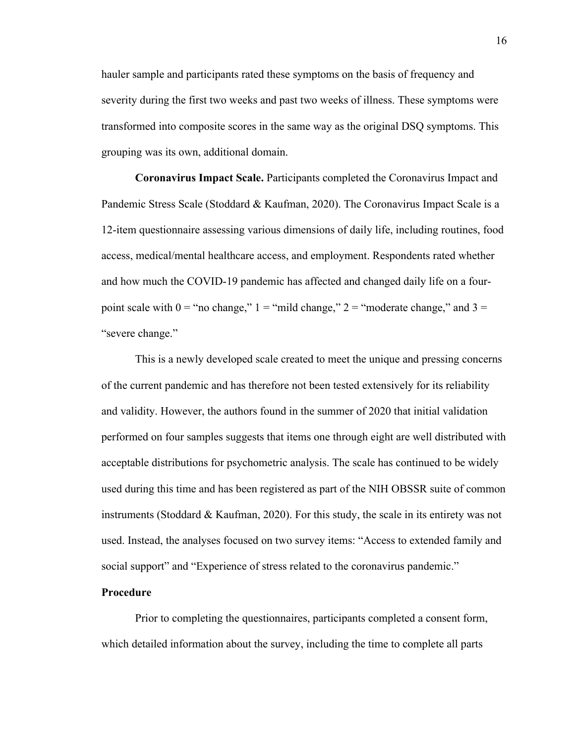hauler sample and participants rated these symptoms on the basis of frequency and severity during the first two weeks and past two weeks of illness. These symptoms were transformed into composite scores in the same way as the original DSQ symptoms. This grouping was its own, additional domain.

**Coronavirus Impact Scale.** Participants completed the Coronavirus Impact and Pandemic Stress Scale (Stoddard & Kaufman, 2020). The Coronavirus Impact Scale is a 12-item questionnaire assessing various dimensions of daily life, including routines, food access, medical/mental healthcare access, and employment. Respondents rated whether and how much the COVID-19 pandemic has affected and changed daily life on a fourpoint scale with  $0 =$  "no change,"  $1 =$  "mild change,"  $2 =$  "moderate change," and  $3 =$ "severe change."

This is a newly developed scale created to meet the unique and pressing concerns of the current pandemic and has therefore not been tested extensively for its reliability and validity. However, the authors found in the summer of 2020 that initial validation performed on four samples suggests that items one through eight are well distributed with acceptable distributions for psychometric analysis. The scale has continued to be widely used during this time and has been registered as part of the NIH OBSSR suite of common instruments (Stoddard & Kaufman, 2020). For this study, the scale in its entirety was not used. Instead, the analyses focused on two survey items: "Access to extended family and social support" and "Experience of stress related to the coronavirus pandemic."

#### **Procedure**

Prior to completing the questionnaires, participants completed a consent form, which detailed information about the survey, including the time to complete all parts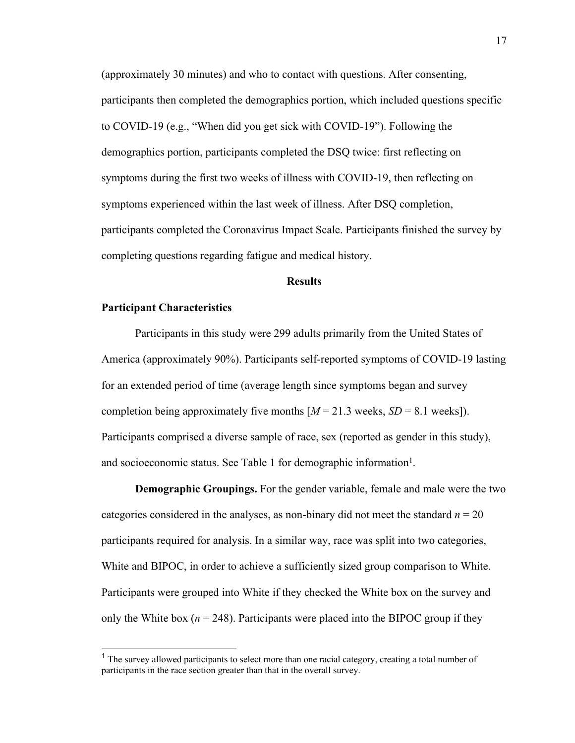(approximately 30 minutes) and who to contact with questions. After consenting, participants then completed the demographics portion, which included questions specific to COVID-19 (e.g., "When did you get sick with COVID-19"). Following the demographics portion, participants completed the DSQ twice: first reflecting on symptoms during the first two weeks of illness with COVID-19, then reflecting on symptoms experienced within the last week of illness. After DSQ completion, participants completed the Coronavirus Impact Scale. Participants finished the survey by completing questions regarding fatigue and medical history.

#### **Results**

#### **Participant Characteristics**

Participants in this study were 299 adults primarily from the United States of America (approximately 90%). Participants self-reported symptoms of COVID-19 lasting for an extended period of time (average length since symptoms began and survey completion being approximately five months  $[M = 21.3$  weeks,  $SD = 8.1$  weeks]). Participants comprised a diverse sample of race, sex (reported as gender in this study), and socioeconomic status. See Table 1 for demographic information<sup>1</sup>.

**Demographic Groupings.** For the gender variable, female and male were the two categories considered in the analyses, as non-binary did not meet the standard  $n = 20$ participants required for analysis. In a similar way, race was split into two categories, White and BIPOC, in order to achieve a sufficiently sized group comparison to White. Participants were grouped into White if they checked the White box on the survey and only the White box ( $n = 248$ ). Participants were placed into the BIPOC group if they

<sup>&</sup>lt;sup>1</sup> The survey allowed participants to select more than one racial category, creating a total number of participants in the race section greater than that in the overall survey.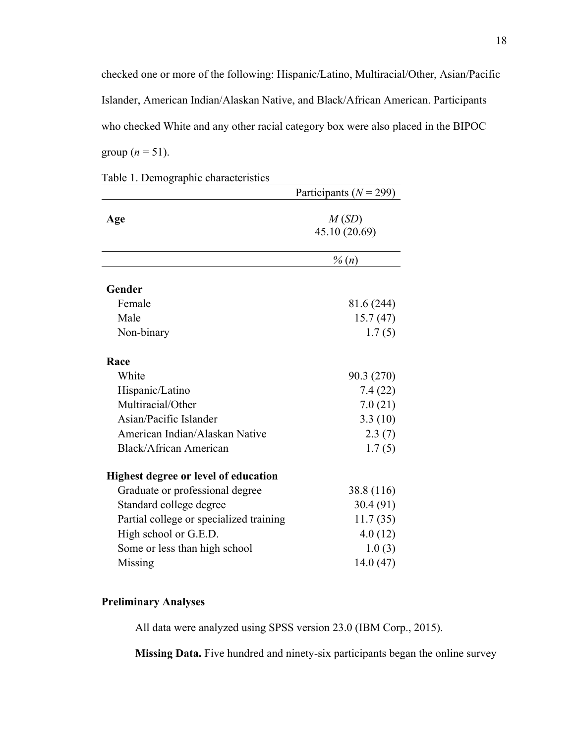checked one or more of the following: Hispanic/Latino, Multiracial/Other, Asian/Pacific Islander, American Indian/Alaskan Native, and Black/African American. Participants who checked White and any other racial category box were also placed in the BIPOC group ( $n = 51$ ).

|                                             | Participants ( $N = 299$ ) |
|---------------------------------------------|----------------------------|
| Age                                         | M(SD)<br>45.10 (20.69)     |
|                                             | $\%$ $(n)$                 |
| Gender                                      |                            |
| Female                                      | 81.6 (244)                 |
| Male                                        | 15.7(47)                   |
| Non-binary                                  | 1.7(5)                     |
| Race                                        |                            |
| White                                       | 90.3 (270)                 |
| Hispanic/Latino                             | 7.4(22)                    |
| Multiracial/Other                           | 7.0(21)                    |
| Asian/Pacific Islander                      | 3.3(10)                    |
| American Indian/Alaskan Native              | 2.3(7)                     |
| Black/African American                      | 1.7(5)                     |
| <b>Highest degree or level of education</b> |                            |
| Graduate or professional degree             | 38.8 (116)                 |
| Standard college degree                     | 30.4(91)                   |
| Partial college or specialized training     | 11.7(35)                   |
| High school or G.E.D.                       | 4.0(12)                    |
| Some or less than high school               | 1.0(3)                     |
| Missing                                     | 14.0(47)                   |
|                                             |                            |

Table 1. Demographic characteristics

# **Preliminary Analyses**

All data were analyzed using SPSS version 23.0 (IBM Corp., 2015).

**Missing Data.** Five hundred and ninety-six participants began the online survey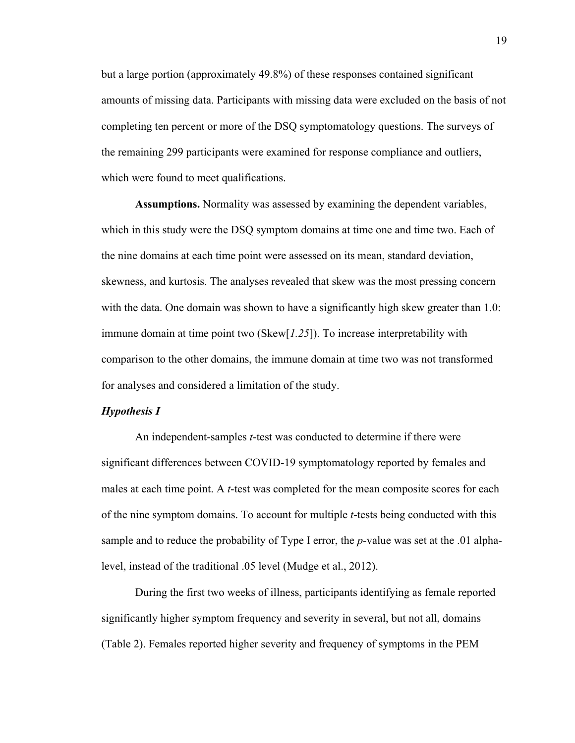but a large portion (approximately 49.8%) of these responses contained significant amounts of missing data. Participants with missing data were excluded on the basis of not completing ten percent or more of the DSQ symptomatology questions. The surveys of the remaining 299 participants were examined for response compliance and outliers, which were found to meet qualifications.

**Assumptions.** Normality was assessed by examining the dependent variables, which in this study were the DSQ symptom domains at time one and time two. Each of the nine domains at each time point were assessed on its mean, standard deviation, skewness, and kurtosis. The analyses revealed that skew was the most pressing concern with the data. One domain was shown to have a significantly high skew greater than 1.0: immune domain at time point two (Skew[*1.25*]). To increase interpretability with comparison to the other domains, the immune domain at time two was not transformed for analyses and considered a limitation of the study.

#### *Hypothesis I*

An independent-samples *t*-test was conducted to determine if there were significant differences between COVID-19 symptomatology reported by females and males at each time point. A *t*-test was completed for the mean composite scores for each of the nine symptom domains. To account for multiple *t*-tests being conducted with this sample and to reduce the probability of Type I error, the *p*-value was set at the .01 alphalevel, instead of the traditional .05 level (Mudge et al., 2012).

During the first two weeks of illness, participants identifying as female reported significantly higher symptom frequency and severity in several, but not all, domains (Table 2). Females reported higher severity and frequency of symptoms in the PEM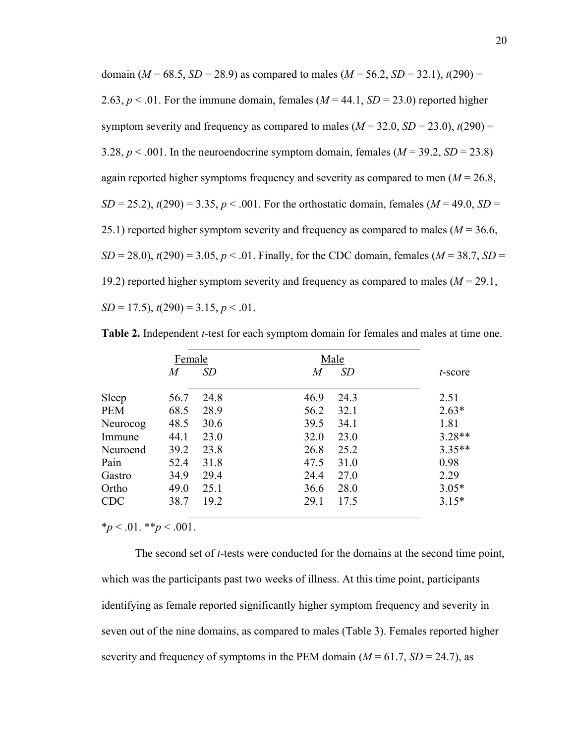domain ( $M = 68.5$ ,  $SD = 28.9$ ) as compared to males ( $M = 56.2$ ,  $SD = 32.1$ ),  $t(290) =$ 2.63,  $p < 0.01$ . For the immune domain, females ( $M = 44.1$ ,  $SD = 23.0$ ) reported higher symptom severity and frequency as compared to males  $(M = 32.0, SD = 23.0)$ ,  $t(290) =$ 3.28,  $p < .001$ . In the neuroendocrine symptom domain, females ( $M = 39.2$ ,  $SD = 23.8$ ) again reported higher symptoms frequency and severity as compared to men (*M* = 26.8, *SD* = 25.2),  $t(290)$  = 3.35,  $p < .001$ . For the orthostatic domain, females ( $M = 49.0$ , *SD* = 25.1) reported higher symptom severity and frequency as compared to males  $(M = 36.6,$ *SD* = 28.0),  $t(290)$  = 3.05,  $p < .01$ . Finally, for the CDC domain, females (*M* = 38.7, *SD* = 19.2) reported higher symptom severity and frequency as compared to males (*M* = 29.1, *SD* = 17.5), *t*(290) = 3.15, *p* < .01.

|            | Female |           | Male           |          |
|------------|--------|-----------|----------------|----------|
|            | M      | <i>SD</i> | <i>SD</i><br>M | t-score  |
| Sleep      | 56.7   | 24.8      | 46.9<br>24.3   | 2.51     |
| <b>PEM</b> | 68.5   | 28.9      | 56.2<br>32.1   | $2.63*$  |
| Neurocog   | 48.5   | 30.6      | 39.5<br>34.1   | 1.81     |
| Immune     | 44.1   | 23.0      | 32.0<br>23.0   | $3.28**$ |
| Neuroend   | 39.2   | 23.8      | 26.8<br>25.2   | $3.35**$ |
| Pain       | 52.4   | 31.8      | 47.5<br>31.0   | 0.98     |
| Gastro     | 34.9   | 29.4      | 27.0<br>24.4   | 2.29     |
| Ortho      | 49.0   | 25.1      | 28.0<br>36.6   | $3.05*$  |
| <b>CDC</b> | 38.7   | 19.2      | 29.1<br>17.5   | $3.15*$  |

**Table 2.** Independent *t*-test for each symptom domain for females and males at time one.

 $*_{p}$  < .01.  $*_{p}$  < .001.

The second set of *t*-tests were conducted for the domains at the second time point, which was the participants past two weeks of illness. At this time point, participants identifying as female reported significantly higher symptom frequency and severity in seven out of the nine domains, as compared to males (Table 3). Females reported higher severity and frequency of symptoms in the PEM domain  $(M = 61.7, SD = 24.7)$ , as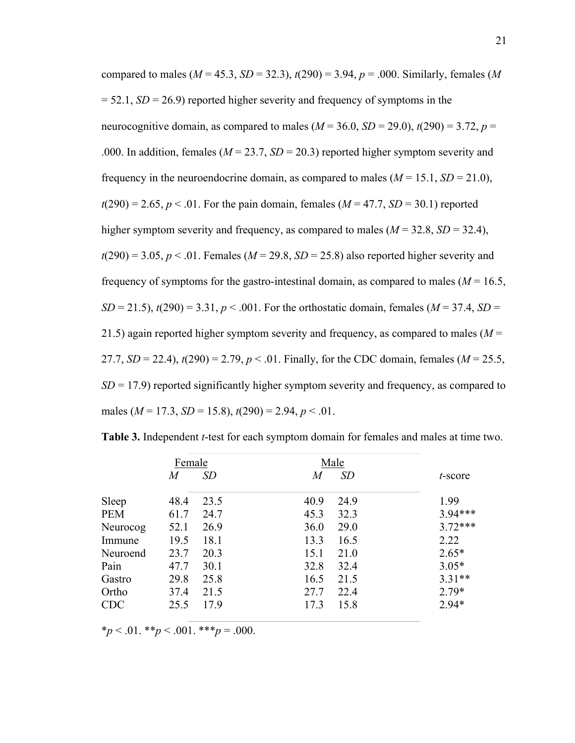compared to males ( $M = 45.3$ ,  $SD = 32.3$ ),  $t(290) = 3.94$ ,  $p = .000$ . Similarly, females (M)  $= 52.1, SD = 26.9$  reported higher severity and frequency of symptoms in the neurocognitive domain, as compared to males  $(M = 36.0, SD = 29.0)$ ,  $t(290) = 3.72$ ,  $p =$ .000. In addition, females ( $M = 23.7$ ,  $SD = 20.3$ ) reported higher symptom severity and frequency in the neuroendocrine domain, as compared to males  $(M = 15.1, SD = 21.0)$ ,  $t(290) = 2.65, p < .01$ . For the pain domain, females ( $M = 47.7, SD = 30.1$ ) reported higher symptom severity and frequency, as compared to males  $(M = 32.8, SD = 32.4)$ ,  $t(290) = 3.05, p < .01$ . Females ( $M = 29.8, SD = 25.8$ ) also reported higher severity and frequency of symptoms for the gastro-intestinal domain, as compared to males ( $M = 16.5$ , *SD* = 21.5),  $t(290)$  = 3.31,  $p < .001$ . For the orthostatic domain, females ( $M = 37.4$ , *SD* = 21.5) again reported higher symptom severity and frequency, as compared to males (*M* = 27.7,  $SD = 22.4$ ),  $t(290) = 2.79$ ,  $p < .01$ . Finally, for the CDC domain, females ( $M = 25.5$ , *SD* = 17.9) reported significantly higher symptom severity and frequency, as compared to males (*M* = 17.3, *SD* = 15.8), *t*(290) = 2.94, *p* < .01.

|            | Female |      | Male |           |           |
|------------|--------|------|------|-----------|-----------|
|            | M      | SD   | M    | <i>SD</i> | t-score   |
| Sleep      | 48.4   | 23.5 | 40.9 | 24.9      | 1.99      |
| <b>PEM</b> | 61.7   | 24.7 | 45.3 | 32.3      | 3.94***   |
| Neurocog   | 52.1   | 26.9 | 36.0 | 29.0      | $3.72***$ |
| Immune     | 19.5   | 18.1 | 13.3 | 16.5      | 2.22      |
| Neuroend   | 23.7   | 20.3 | 15.1 | 21.0      | $2.65*$   |
| Pain       | 47.7   | 30.1 | 32.8 | 32.4      | $3.05*$   |
| Gastro     | 29.8   | 25.8 | 16.5 | 21.5      | $3.31**$  |
| Ortho      | 37.4   | 21.5 | 27.7 | 22.4      | $2.79*$   |
| <b>CDC</b> | 25.5   | 17.9 | 17.3 | 15.8      | $2.94*$   |

**Table 3.** Independent *t*-test for each symptom domain for females and males at time two.

 $*_p$  < .01.  $*_p$  < .001.  $**_p$  = .000.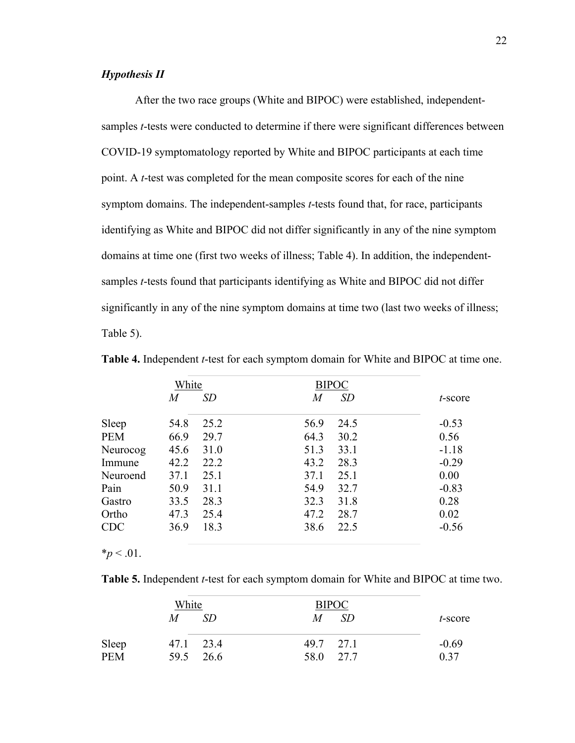#### *Hypothesis II*

After the two race groups (White and BIPOC) were established, independentsamples *t*-tests were conducted to determine if there were significant differences between COVID-19 symptomatology reported by White and BIPOC participants at each time point. A *t*-test was completed for the mean composite scores for each of the nine symptom domains. The independent-samples *t*-tests found that, for race, participants identifying as White and BIPOC did not differ significantly in any of the nine symptom domains at time one (first two weeks of illness; Table 4). In addition, the independentsamples *t*-tests found that participants identifying as White and BIPOC did not differ significantly in any of the nine symptom domains at time two (last two weeks of illness; Table 5).

|            | White          |           |          | <b>BIPOC</b> |            |
|------------|----------------|-----------|----------|--------------|------------|
|            | $\overline{M}$ | <i>SD</i> | $\it{M}$ | SD           | $t$ -score |
| Sleep      | 54.8           | 25.2      | 56.9     | 24.5         | $-0.53$    |
| <b>PEM</b> | 66.9           | 29.7      | 64.3     | 30.2         | 0.56       |
| Neurocog   | 45.6           | 31.0      | 51.3     | 33.1         | $-1.18$    |
| Immune     | 42.2           | 22.2      | 43.2     | 28.3         | $-0.29$    |
| Neuroend   | 37.1           | 25.1      | 37.1     | 25.1         | 0.00       |
| Pain       | 50.9           | 31.1      | 54.9     | 32.7         | $-0.83$    |
| Gastro     | 33.5           | 28.3      | 32.3     | 31.8         | 0.28       |
| Ortho      | 47.3           | 25.4      | 47.2     | 28.7         | 0.02       |
| <b>CDC</b> | 36.9           | 18.3      | 38.6     | 22.5         | $-0.56$    |

**Table 4.** Independent *t*-test for each symptom domain for White and BIPOC at time one.

**Table 5.** Independent *t*-test for each symptom domain for White and BIPOC at time two.

|              | White<br>M | SD.                    | M                      | <b>BIPOC</b><br><i>SD</i> | t-score         |
|--------------|------------|------------------------|------------------------|---------------------------|-----------------|
| Sleep<br>PEM |            | 47.1 23.4<br>59.5 26.6 | 49.7 27.1<br>58.0 27.7 |                           | $-0.69$<br>0.37 |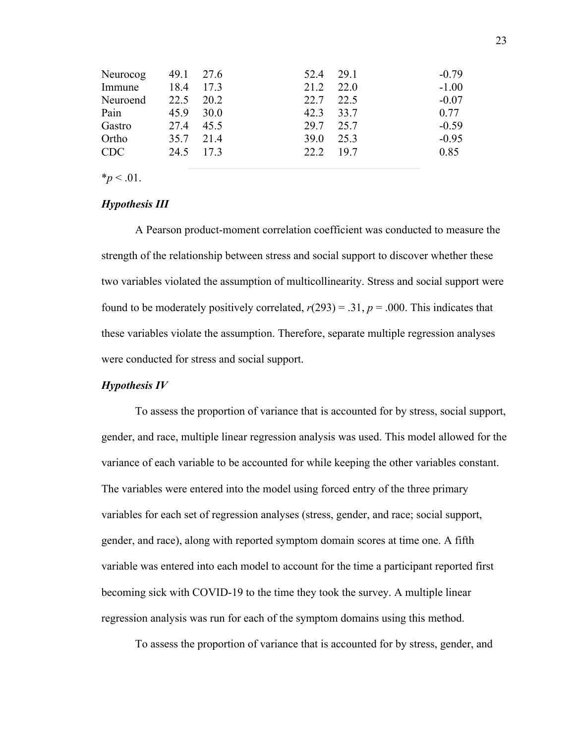| Neurocog   | 49.1 27.6 |      | 52.4 29.1   |           | $-0.79$ |
|------------|-----------|------|-------------|-----------|---------|
| Immune     | 18.4      | 17.3 | 21.2        | 22.0      | $-1.00$ |
| Neuroend   | 22.5      | 20.2 | 22.7 22.5   |           | $-0.07$ |
| Pain       | 45.9      | 30.0 | 42.3 33.7   |           | 0.77    |
| Gastro     | 27.4      | 45.5 | 29.7 25.7   |           | $-0.59$ |
| Ortho      | 35.7 21.4 |      | <b>39.0</b> | 25.3      | $-0.95$ |
| <b>CDC</b> | 24.5 17.3 |      |             | 22.2 19.7 | 0.85    |
|            |           |      |             |           |         |

 $*_{p}$  < .01.

#### *Hypothesis III*

A Pearson product-moment correlation coefficient was conducted to measure the strength of the relationship between stress and social support to discover whether these two variables violated the assumption of multicollinearity. Stress and social support were found to be moderately positively correlated,  $r(293) = .31$ ,  $p = .000$ . This indicates that these variables violate the assumption. Therefore, separate multiple regression analyses were conducted for stress and social support.

#### *Hypothesis IV*

To assess the proportion of variance that is accounted for by stress, social support, gender, and race, multiple linear regression analysis was used. This model allowed for the variance of each variable to be accounted for while keeping the other variables constant. The variables were entered into the model using forced entry of the three primary variables for each set of regression analyses (stress, gender, and race; social support, gender, and race), along with reported symptom domain scores at time one. A fifth variable was entered into each model to account for the time a participant reported first becoming sick with COVID-19 to the time they took the survey. A multiple linear regression analysis was run for each of the symptom domains using this method.

To assess the proportion of variance that is accounted for by stress, gender, and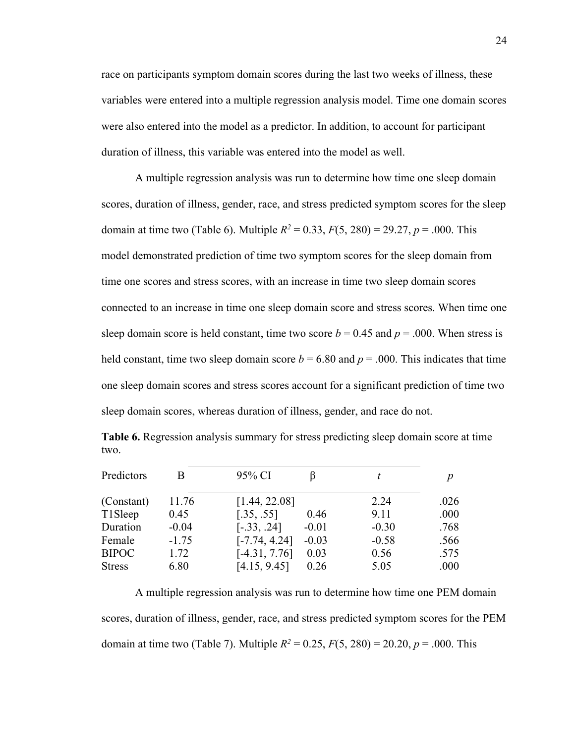race on participants symptom domain scores during the last two weeks of illness, these variables were entered into a multiple regression analysis model. Time one domain scores were also entered into the model as a predictor. In addition, to account for participant duration of illness, this variable was entered into the model as well.

A multiple regression analysis was run to determine how time one sleep domain scores, duration of illness, gender, race, and stress predicted symptom scores for the sleep domain at time two (Table 6). Multiple  $R^2 = 0.33$ ,  $F(5, 280) = 29.27$ ,  $p = .000$ . This model demonstrated prediction of time two symptom scores for the sleep domain from time one scores and stress scores, with an increase in time two sleep domain scores connected to an increase in time one sleep domain score and stress scores. When time one sleep domain score is held constant, time two score  $b = 0.45$  and  $p = .000$ . When stress is held constant, time two sleep domain score  $b = 6.80$  and  $p = .000$ . This indicates that time one sleep domain scores and stress scores account for a significant prediction of time two sleep domain scores, whereas duration of illness, gender, and race do not.

| Predictors    | B       | 95% CI          |         |         | p    |
|---------------|---------|-----------------|---------|---------|------|
|               |         |                 |         |         |      |
| (Constant)    | 11.76   | [1.44, 22.08]   |         | 2.24    | .026 |
| T1Sleep       | 0.45    | [.35, .55]      | 0.46    | 9.11    | .000 |
| Duration      | $-0.04$ | $[-.33, .24]$   | $-0.01$ | $-0.30$ | .768 |
| Female        | $-1.75$ | $[-7.74, 4.24]$ | $-0.03$ | $-0.58$ | .566 |
| <b>BIPOC</b>  | 1.72    | $[-4.31, 7.76]$ | 0.03    | 0.56    | .575 |
| <b>Stress</b> | 6.80    | [4.15, 9.45]    | 0.26    | 5.05    | .000 |

**Table 6.** Regression analysis summary for stress predicting sleep domain score at time two.

A multiple regression analysis was run to determine how time one PEM domain scores, duration of illness, gender, race, and stress predicted symptom scores for the PEM domain at time two (Table 7). Multiple  $R^2 = 0.25$ ,  $F(5, 280) = 20.20$ ,  $p = .000$ . This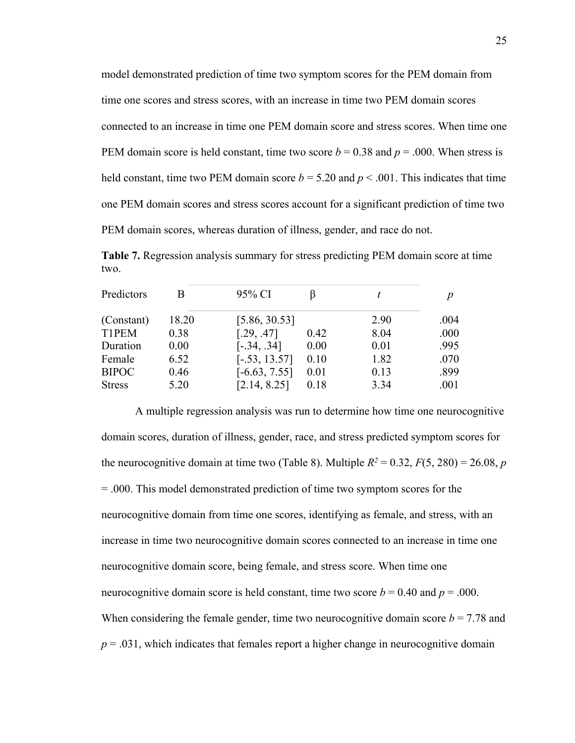model demonstrated prediction of time two symptom scores for the PEM domain from time one scores and stress scores, with an increase in time two PEM domain scores connected to an increase in time one PEM domain score and stress scores. When time one PEM domain score is held constant, time two score  $b = 0.38$  and  $p = .000$ . When stress is held constant, time two PEM domain score  $b = 5.20$  and  $p < .001$ . This indicates that time one PEM domain scores and stress scores account for a significant prediction of time two PEM domain scores, whereas duration of illness, gender, and race do not.

**Table 7.** Regression analysis summary for stress predicting PEM domain score at time two.

| Predictors    | B     | 95% CI          |      | t    |      |
|---------------|-------|-----------------|------|------|------|
| (Constant)    | 18.20 | [5.86, 30.53]   |      | 2.90 | .004 |
| T1PEM         | 0.38  | [.29, .47]      | 0.42 | 8.04 | .000 |
| Duration      | 0.00  | $[-.34, .34]$   | 0.00 | 0.01 | .995 |
| Female        | 6.52  | $[-.53, 13.57]$ | 0.10 | 1.82 | .070 |
| <b>BIPOC</b>  | 0.46  | $[-6.63, 7.55]$ | 0.01 | 0.13 | .899 |
| <b>Stress</b> | 5.20  | [2.14, 8.25]    | 0.18 | 3.34 | .001 |

A multiple regression analysis was run to determine how time one neurocognitive domain scores, duration of illness, gender, race, and stress predicted symptom scores for the neurocognitive domain at time two (Table 8). Multiple  $R^2 = 0.32$ ,  $F(5, 280) = 26.08$ , *p* = .000. This model demonstrated prediction of time two symptom scores for the neurocognitive domain from time one scores, identifying as female, and stress, with an increase in time two neurocognitive domain scores connected to an increase in time one neurocognitive domain score, being female, and stress score. When time one neurocognitive domain score is held constant, time two score  $b = 0.40$  and  $p = .000$ . When considering the female gender, time two neurocognitive domain score  $b = 7.78$  and  $p = .031$ , which indicates that females report a higher change in neurocognitive domain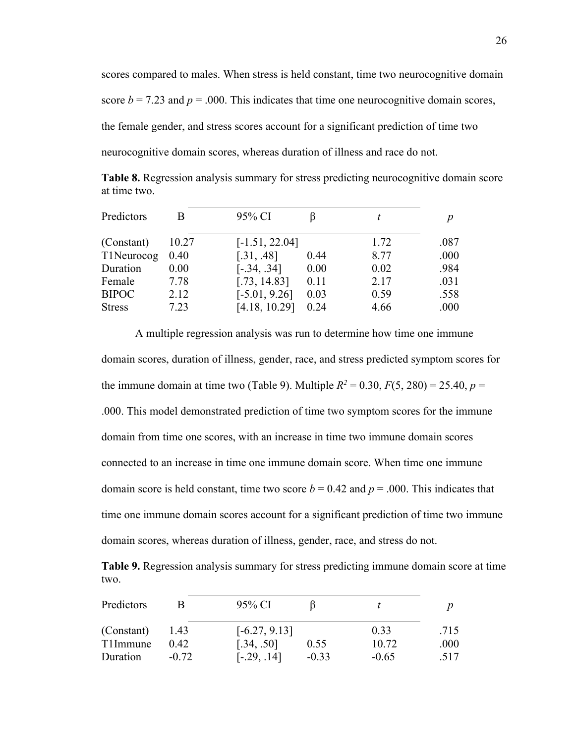scores compared to males. When stress is held constant, time two neurocognitive domain score  $b = 7.23$  and  $p = .000$ . This indicates that time one neurocognitive domain scores, the female gender, and stress scores account for a significant prediction of time two neurocognitive domain scores, whereas duration of illness and race do not.

**Table 8.** Regression analysis summary for stress predicting neurocognitive domain score at time two.

| Predictors    | B     | 95% CI           |      |      |      |
|---------------|-------|------------------|------|------|------|
| (Constant)    | 10.27 | $[-1.51, 22.04]$ |      | 1.72 | .087 |
| T1Neurocog    | 0.40  | [.31, .48]       | 0.44 | 8.77 | .000 |
| Duration      | 0.00  | $[-.34, .34]$    | 0.00 | 0.02 | .984 |
| Female        | 7.78  | [.73, 14.83]     | 0.11 | 2.17 | .031 |
| <b>BIPOC</b>  | 2.12  | $[-5.01, 9.26]$  | 0.03 | 0.59 | .558 |
| <b>Stress</b> | 7.23  | [4.18, 10.29]    | 0.24 | 4.66 | .000 |

A multiple regression analysis was run to determine how time one immune domain scores, duration of illness, gender, race, and stress predicted symptom scores for the immune domain at time two (Table 9). Multiple  $R^2 = 0.30, F(5, 280) = 25.40, p =$ .000. This model demonstrated prediction of time two symptom scores for the immune domain from time one scores, with an increase in time two immune domain scores connected to an increase in time one immune domain score. When time one immune domain score is held constant, time two score  $b = 0.42$  and  $p = .000$ . This indicates that time one immune domain scores account for a significant prediction of time two immune domain scores, whereas duration of illness, gender, race, and stress do not.

**Table 9.** Regression analysis summary for stress predicting immune domain score at time two.

| Predictors |         | 95% CI          |         |         |      |
|------------|---------|-----------------|---------|---------|------|
| (Constant) | 1.43    | $[-6.27, 9.13]$ |         | 0.33    | .715 |
| T1Immune   | 0.42    | [.34, .50]      | 0.55    | 10.72   | .000 |
| Duration   | $-0.72$ | $[-.29, .14]$   | $-0.33$ | $-0.65$ | .517 |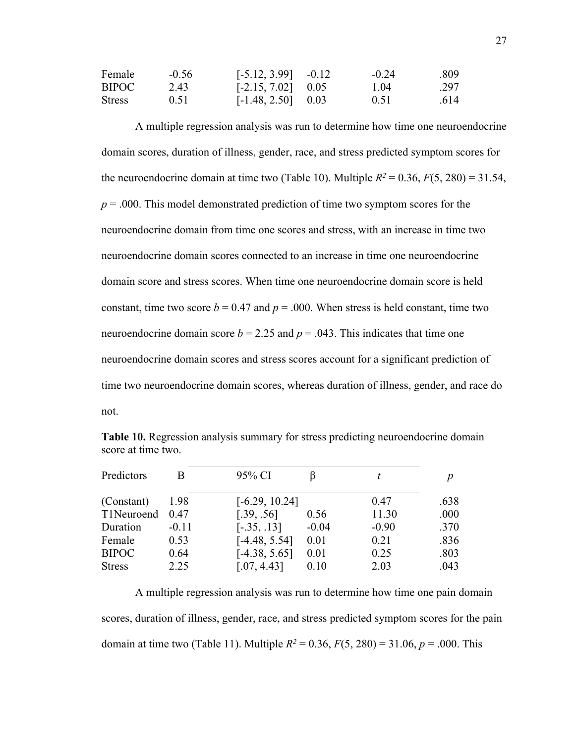| Female        | $-0.56$ | $[-5.12, 3.99]$ $-0.12$ | $-0.24$ | .809 |
|---------------|---------|-------------------------|---------|------|
| BIPOC         | 2.43    | $[-2.15, 7.02]$ 0.05    | 1.04    | .297 |
| <b>Stress</b> | 0.51    | $[-1.48, 2.50]$ 0.03    | 0.51    | .614 |

A multiple regression analysis was run to determine how time one neuroendocrine domain scores, duration of illness, gender, race, and stress predicted symptom scores for the neuroendocrine domain at time two (Table 10). Multiple  $R^2 = 0.36$ ,  $F(5, 280) = 31.54$ , *p* = .000. This model demonstrated prediction of time two symptom scores for the neuroendocrine domain from time one scores and stress, with an increase in time two neuroendocrine domain scores connected to an increase in time one neuroendocrine domain score and stress scores. When time one neuroendocrine domain score is held constant, time two score  $b = 0.47$  and  $p = .000$ . When stress is held constant, time two neuroendocrine domain score  $b = 2.25$  and  $p = .043$ . This indicates that time one neuroendocrine domain scores and stress scores account for a significant prediction of time two neuroendocrine domain scores, whereas duration of illness, gender, and race do not.

| Predictors    |         | 95% CI           |         |         |      |
|---------------|---------|------------------|---------|---------|------|
| (Constant)    | 1.98    | $[-6.29, 10.24]$ |         | 0.47    | .638 |
| T1Neuroend    | 0.47    | [.39, .56]       | 0.56    | 11.30   | .000 |
| Duration      | $-0.11$ | $[-.35, .13]$    | $-0.04$ | $-0.90$ | .370 |
| Female        | 0.53    | $[-4.48, 5.54]$  | 0.01    | 0.21    | .836 |
| <b>BIPOC</b>  | 0.64    | $[-4.38, 5.65]$  | 0.01    | 0.25    | .803 |
| <b>Stress</b> | 2.25    | [.07, 4.43]      | 0.10    | 2.03    | .043 |

**Table 10.** Regression analysis summary for stress predicting neuroendocrine domain score at time two.

A multiple regression analysis was run to determine how time one pain domain scores, duration of illness, gender, race, and stress predicted symptom scores for the pain domain at time two (Table 11). Multiple  $R^2 = 0.36$ ,  $F(5, 280) = 31.06$ ,  $p = .000$ . This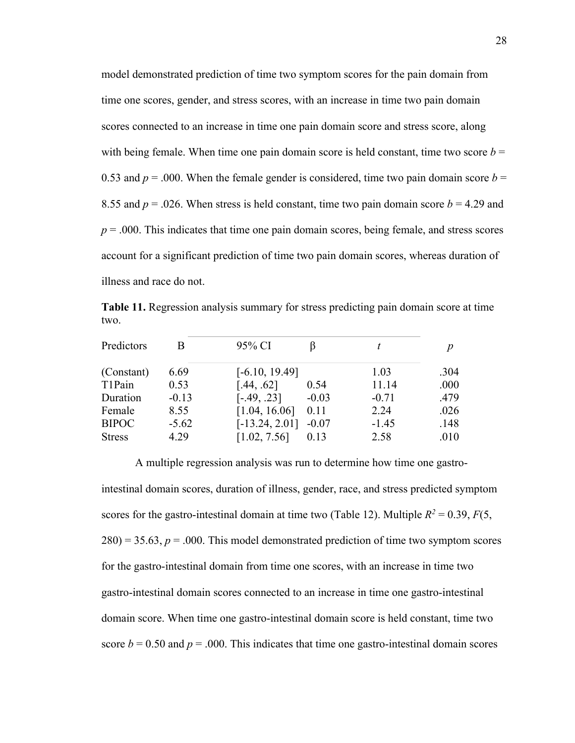model demonstrated prediction of time two symptom scores for the pain domain from time one scores, gender, and stress scores, with an increase in time two pain domain scores connected to an increase in time one pain domain score and stress score, along with being female. When time one pain domain score is held constant, time two score  $b =$ 0.53 and  $p = 0.00$ . When the female gender is considered, time two pain domain score  $b = 0.53$ 8.55 and  $p = 0.026$ . When stress is held constant, time two pain domain score  $b = 4.29$  and *p* = .000. This indicates that time one pain domain scores, being female, and stress scores account for a significant prediction of time two pain domain scores, whereas duration of illness and race do not.

**Table 11.** Regression analysis summary for stress predicting pain domain score at time two.

| Predictors    | B       | 95% CI           |         |         | n    |
|---------------|---------|------------------|---------|---------|------|
| (Constant)    | 6.69    | $[-6.10, 19.49]$ |         | 1.03    | .304 |
| T1Pain        | 0.53    | [.44, .62]       | 0.54    | 11.14   | .000 |
| Duration      | $-0.13$ | $[-.49, .23]$    | $-0.03$ | $-0.71$ | .479 |
| Female        | 8.55    | [1.04, 16.06]    | 0.11    | 2.24    | .026 |
| <b>BIPOC</b>  | $-5.62$ | $[-13.24, 2.01]$ | $-0.07$ | $-1.45$ | .148 |
| <b>Stress</b> | 4.29    | [1.02, 7.56]     | 0.13    | 2.58    | .010 |

A multiple regression analysis was run to determine how time one gastrointestinal domain scores, duration of illness, gender, race, and stress predicted symptom scores for the gastro-intestinal domain at time two (Table 12). Multiple  $R^2 = 0.39$ ,  $F(5)$ ,  $280$ ) = 35.63,  $p = 0.000$ . This model demonstrated prediction of time two symptom scores for the gastro-intestinal domain from time one scores, with an increase in time two gastro-intestinal domain scores connected to an increase in time one gastro-intestinal domain score. When time one gastro-intestinal domain score is held constant, time two score  $b = 0.50$  and  $p = .000$ . This indicates that time one gastro-intestinal domain scores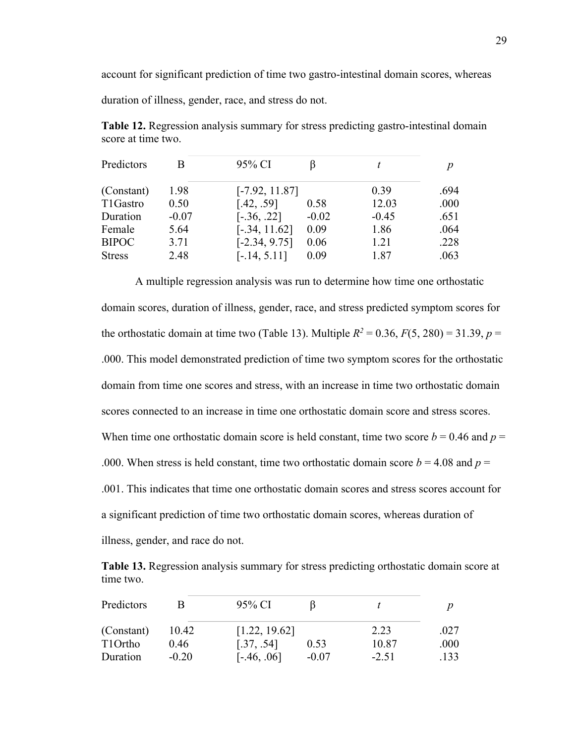account for significant prediction of time two gastro-intestinal domain scores, whereas

duration of illness, gender, race, and stress do not.

**Table 12.** Regression analysis summary for stress predicting gastro-intestinal domain score at time two.

| Predictors    | В       | 95% CI           |         | t       | n    |
|---------------|---------|------------------|---------|---------|------|
| (Constant)    | 1.98    | $[-7.92, 11.87]$ |         | 0.39    | .694 |
| T1Gastro      | 0.50    | [.42, .59]       | 0.58    | 12.03   | .000 |
| Duration      | $-0.07$ | $[-.36, .22]$    | $-0.02$ | $-0.45$ | .651 |
| Female        | 5.64    | $[-.34, 11.62]$  | 0.09    | 1.86    | .064 |
| <b>BIPOC</b>  | 3.71    | $[-2.34, 9.75]$  | 0.06    | 1.21    | .228 |
| <b>Stress</b> | 2.48    | $[-.14, 5.11]$   | 0.09    | 1.87    | .063 |

A multiple regression analysis was run to determine how time one orthostatic domain scores, duration of illness, gender, race, and stress predicted symptom scores for the orthostatic domain at time two (Table 13). Multiple  $R^2 = 0.36$ ,  $F(5, 280) = 31.39$ ,  $p =$ .000. This model demonstrated prediction of time two symptom scores for the orthostatic domain from time one scores and stress, with an increase in time two orthostatic domain scores connected to an increase in time one orthostatic domain score and stress scores. When time one orthostatic domain score is held constant, time two score  $b = 0.46$  and  $p = 0.46$ .000. When stress is held constant, time two orthostatic domain score  $b = 4.08$  and  $p =$ .001. This indicates that time one orthostatic domain scores and stress scores account for a significant prediction of time two orthostatic domain scores, whereas duration of illness, gender, and race do not.

**Table 13.** Regression analysis summary for stress predicting orthostatic domain score at time two.

| Predictors |         | 95% CI        |         |         |      |
|------------|---------|---------------|---------|---------|------|
| (Constant) | 10.42   | [1.22, 19.62] |         | 2.23    | .027 |
| T1Ortho    | 0.46    | [.37, .54]    | 0.53    | 10.87   | .000 |
| Duration   | $-0.20$ | $[-.46, .06]$ | $-0.07$ | $-2.51$ | .133 |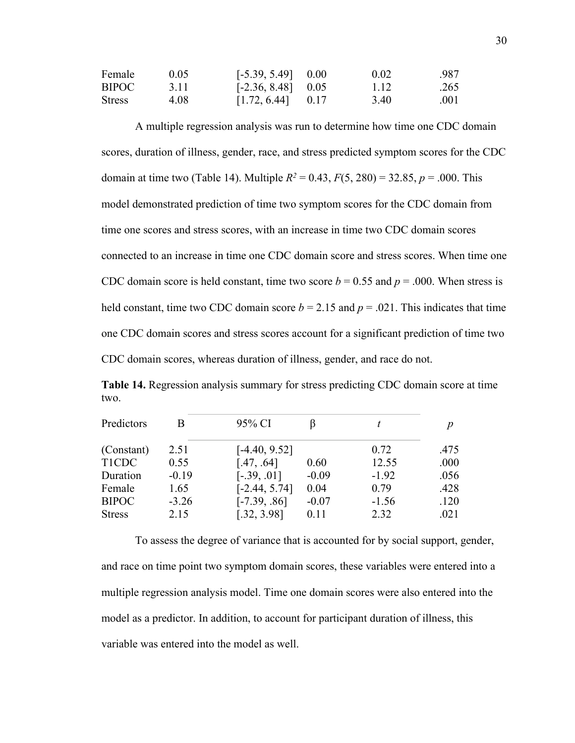| Female | 0.05 | $[-5.39, 5.49]$ 0.00 | 0.02 | .987 |
|--------|------|----------------------|------|------|
| BIPOC  | 3.11 | $[-2.36, 8.48]$ 0.05 | 1.12 | .265 |
| Stress | 4.08 | $[1.72, 6.44]$ 0.17  | 3.40 | .001 |

A multiple regression analysis was run to determine how time one CDC domain scores, duration of illness, gender, race, and stress predicted symptom scores for the CDC domain at time two (Table 14). Multiple  $R^2 = 0.43$ ,  $F(5, 280) = 32.85$ ,  $p = .000$ . This model demonstrated prediction of time two symptom scores for the CDC domain from time one scores and stress scores, with an increase in time two CDC domain scores connected to an increase in time one CDC domain score and stress scores. When time one CDC domain score is held constant, time two score  $b = 0.55$  and  $p = .000$ . When stress is held constant, time two CDC domain score  $b = 2.15$  and  $p = .021$ . This indicates that time one CDC domain scores and stress scores account for a significant prediction of time two CDC domain scores, whereas duration of illness, gender, and race do not.

**Table 14.** Regression analysis summary for stress predicting CDC domain score at time two.

| Predictors    | B       | 95% CI          |         | t       |      |
|---------------|---------|-----------------|---------|---------|------|
| (Constant)    | 2.51    | $[-4.40, 9.52]$ |         | 0.72    | .475 |
| T1CDC         | 0.55    | [.47, .64]      | 0.60    | 12.55   | .000 |
| Duration      | $-0.19$ | $[-.39, .01]$   | $-0.09$ | $-1.92$ | .056 |
| Female        | 1.65    | $[-2.44, 5.74]$ | 0.04    | 0.79    | .428 |
| <b>BIPOC</b>  | $-3.26$ | $[-7.39, .86]$  | $-0.07$ | $-1.56$ | .120 |
| <b>Stress</b> | 2.15    | [.32, 3.98]     | 0.11    | 2.32    | .021 |

To assess the degree of variance that is accounted for by social support, gender, and race on time point two symptom domain scores, these variables were entered into a multiple regression analysis model. Time one domain scores were also entered into the model as a predictor. In addition, to account for participant duration of illness, this variable was entered into the model as well.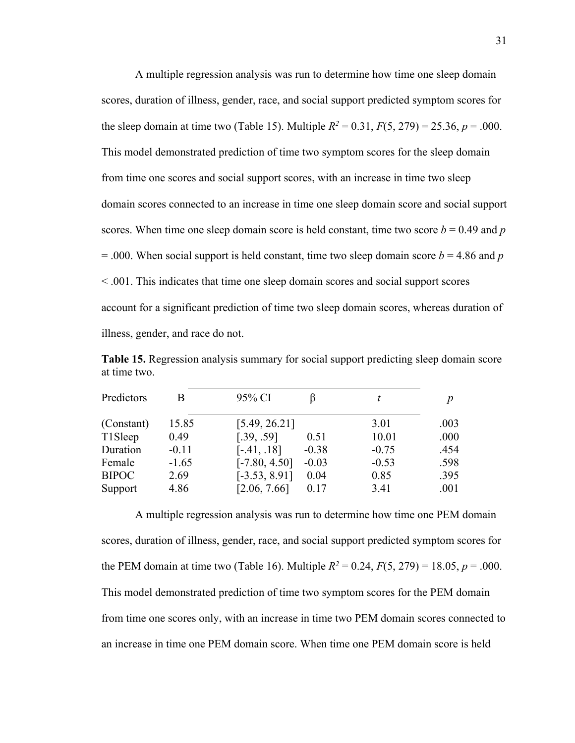A multiple regression analysis was run to determine how time one sleep domain scores, duration of illness, gender, race, and social support predicted symptom scores for the sleep domain at time two (Table 15). Multiple  $R^2 = 0.31$ ,  $F(5, 279) = 25.36$ ,  $p = .000$ . This model demonstrated prediction of time two symptom scores for the sleep domain from time one scores and social support scores, with an increase in time two sleep domain scores connected to an increase in time one sleep domain score and social support scores. When time one sleep domain score is held constant, time two score  $b = 0.49$  and  $p$  $= .000$ . When social support is held constant, time two sleep domain score  $b = 4.86$  and  $p$ < .001. This indicates that time one sleep domain scores and social support scores account for a significant prediction of time two sleep domain scores, whereas duration of illness, gender, and race do not.

**Table 15.** Regression analysis summary for social support predicting sleep domain score at time two.

| Predictors   | B       | 95% CI                     | t       | $\boldsymbol{p}$ |
|--------------|---------|----------------------------|---------|------------------|
| (Constant)   | 15.85   | [5.49, 26.21]              | 3.01    | .003             |
| T1Sleep      | 0.49    | [.39, .59]<br>0.51         | 10.01   | .000             |
| Duration     | $-0.11$ | $[-.41, .18]$<br>$-0.38$   | $-0.75$ | .454             |
| Female       | $-1.65$ | $[-7.80, 4.50]$<br>$-0.03$ | $-0.53$ | .598             |
| <b>BIPOC</b> | 2.69    | $[-3.53, 8.91]$<br>0.04    | 0.85    | .395             |
| Support      | 4.86    | [2.06, 7.66]<br>0.17       | 3.41    | .001             |

A multiple regression analysis was run to determine how time one PEM domain scores, duration of illness, gender, race, and social support predicted symptom scores for the PEM domain at time two (Table 16). Multiple  $R^2 = 0.24$ ,  $F(5, 279) = 18.05$ ,  $p = .000$ . This model demonstrated prediction of time two symptom scores for the PEM domain from time one scores only, with an increase in time two PEM domain scores connected to an increase in time one PEM domain score. When time one PEM domain score is held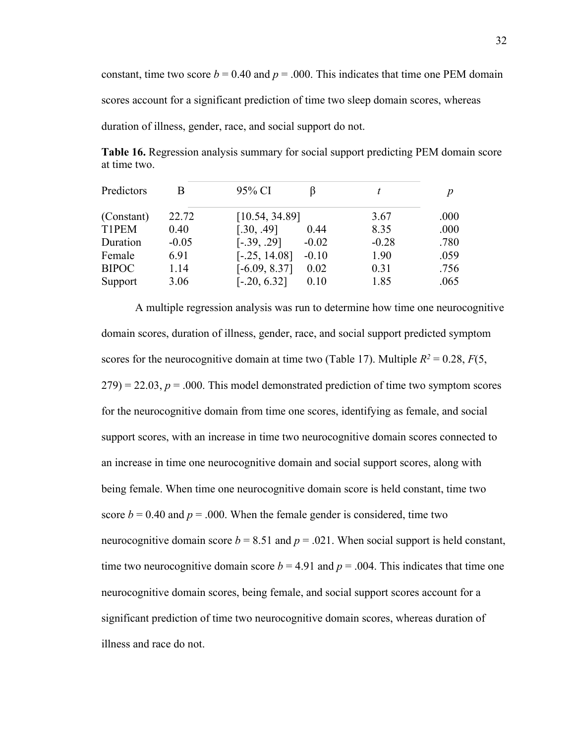constant, time two score  $b = 0.40$  and  $p = .000$ . This indicates that time one PEM domain scores account for a significant prediction of time two sleep domain scores, whereas duration of illness, gender, race, and social support do not.

**Table 16.** Regression analysis summary for social support predicting PEM domain score at time two.

| Predictors   |         | 95% CI                     | t       | n    |
|--------------|---------|----------------------------|---------|------|
| (Constant)   | 22.72   | [10.54, 34.89]             | 3.67    | .000 |
| T1PEM        | 0.40    | [.30, .49]<br>0.44         | 8.35    | .000 |
| Duration     | $-0.05$ | $[-.39, .29]$<br>$-0.02$   | $-0.28$ | .780 |
| Female       | 6.91    | $[-.25, 14.08]$<br>$-0.10$ | 1.90    | .059 |
| <b>BIPOC</b> | 1.14    | $[-6.09, 8.37]$<br>0.02    | 0.31    | .756 |
| Support      | 3.06    | $[-.20, 6.32]$<br>0.10     | 1.85    | .065 |

A multiple regression analysis was run to determine how time one neurocognitive domain scores, duration of illness, gender, race, and social support predicted symptom scores for the neurocognitive domain at time two (Table 17). Multiple  $R^2 = 0.28$ ,  $F(5, 1.28)$  $279$ ) = 22.03,  $p = .000$ . This model demonstrated prediction of time two symptom scores for the neurocognitive domain from time one scores, identifying as female, and social support scores, with an increase in time two neurocognitive domain scores connected to an increase in time one neurocognitive domain and social support scores, along with being female. When time one neurocognitive domain score is held constant, time two score  $b = 0.40$  and  $p = .000$ . When the female gender is considered, time two neurocognitive domain score  $b = 8.51$  and  $p = .021$ . When social support is held constant, time two neurocognitive domain score  $b = 4.91$  and  $p = .004$ . This indicates that time one neurocognitive domain scores, being female, and social support scores account for a significant prediction of time two neurocognitive domain scores, whereas duration of illness and race do not.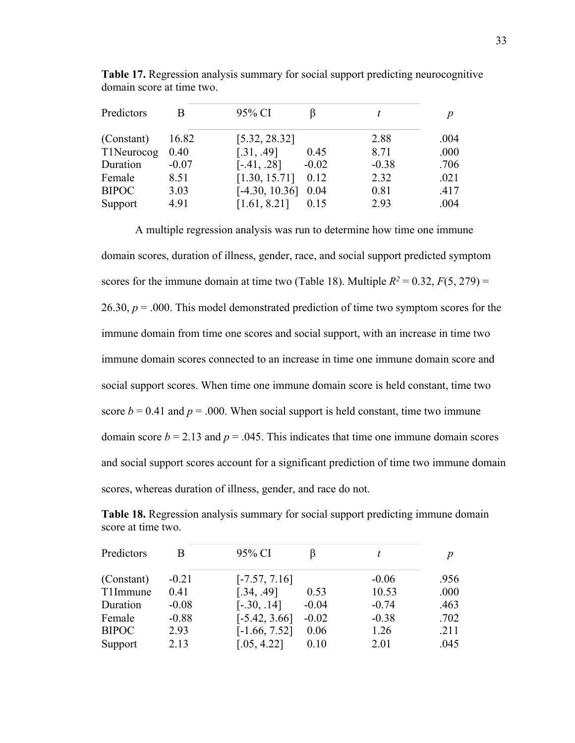| Predictors   | В       | 95% CI           |         | t       | $\boldsymbol{D}$ |
|--------------|---------|------------------|---------|---------|------------------|
| (Constant)   | 16.82   | [5.32, 28.32]    |         | 2.88    | .004             |
| T1Neurocog   | 0.40    | [.31, .49]       | 0.45    | 8.71    | .000             |
| Duration     | $-0.07$ | $[-.41, .28]$    | $-0.02$ | $-0.38$ | .706             |
| Female       | 8.51    | [1.30, 15.71]    | 0.12    | 2.32    | .021             |
| <b>BIPOC</b> | 3.03    | $[-4.30, 10.36]$ | 0.04    | 0.81    | .417             |
| Support      | 4.91    | [1.61, 8.21]     | 0.15    | 2.93    | .004             |

**Table 17.** Regression analysis summary for social support predicting neurocognitive domain score at time two.

A multiple regression analysis was run to determine how time one immune domain scores, duration of illness, gender, race, and social support predicted symptom scores for the immune domain at time two (Table 18). Multiple  $R^2 = 0.32$ ,  $F(5, 279) =$ 26.30,  $p = 0.00$ . This model demonstrated prediction of time two symptom scores for the immune domain from time one scores and social support, with an increase in time two immune domain scores connected to an increase in time one immune domain score and social support scores. When time one immune domain score is held constant, time two score  $b = 0.41$  and  $p = .000$ . When social support is held constant, time two immune domain score  $b = 2.13$  and  $p = .045$ . This indicates that time one immune domain scores and social support scores account for a significant prediction of time two immune domain scores, whereas duration of illness, gender, and race do not.

**Table 18.** Regression analysis summary for social support predicting immune domain score at time two.

| Predictors   | B       | 95% CI          |         |         | p    |
|--------------|---------|-----------------|---------|---------|------|
| (Constant)   | $-0.21$ | $[-7.57, 7.16]$ |         | $-0.06$ | .956 |
| T1Immune     | 0.41    | [.34, .49]      | 0.53    | 10.53   | .000 |
| Duration     | $-0.08$ | $[-.30, .14]$   | $-0.04$ | $-0.74$ | .463 |
| Female       | $-0.88$ | $[-5.42, 3.66]$ | $-0.02$ | $-0.38$ | .702 |
| <b>BIPOC</b> | 2.93    | $[-1.66, 7.52]$ | 0.06    | 1.26    | .211 |
| Support      | 2.13    | [.05, 4.22]     | 0.10    | 2.01    | .045 |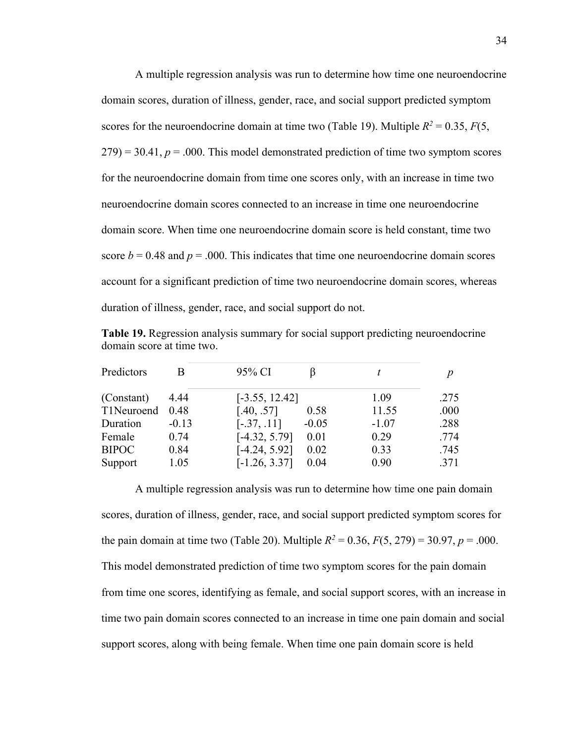A multiple regression analysis was run to determine how time one neuroendocrine domain scores, duration of illness, gender, race, and social support predicted symptom scores for the neuroendocrine domain at time two (Table 19). Multiple  $R^2 = 0.35$ ,  $F(5)$ ,  $(279) = 30.41$ ,  $p = .000$ . This model demonstrated prediction of time two symptom scores for the neuroendocrine domain from time one scores only, with an increase in time two neuroendocrine domain scores connected to an increase in time one neuroendocrine domain score. When time one neuroendocrine domain score is held constant, time two score  $b = 0.48$  and  $p = .000$ . This indicates that time one neuroendocrine domain scores account for a significant prediction of time two neuroendocrine domain scores, whereas duration of illness, gender, race, and social support do not.

**Table 19.** Regression analysis summary for social support predicting neuroendocrine domain score at time two.

| Predictors   | B       | 95% CI           |         |         |      |
|--------------|---------|------------------|---------|---------|------|
| (Constant)   | 4.44    | $[-3.55, 12.42]$ |         | 1.09    | .275 |
| T1Neuroend   | 0.48    | [.40, .57]       | 0.58    | 11.55   | .000 |
| Duration     | $-0.13$ | $[-.37, .11]$    | $-0.05$ | $-1.07$ | .288 |
| Female       | 0.74    | $[-4.32, 5.79]$  | 0.01    | 0.29    | .774 |
| <b>BIPOC</b> | 0.84    | $[-4.24, 5.92]$  | 0.02    | 0.33    | .745 |
| Support      | 1.05    | $[-1.26, 3.37]$  | 0.04    | 0.90    | .371 |

A multiple regression analysis was run to determine how time one pain domain scores, duration of illness, gender, race, and social support predicted symptom scores for the pain domain at time two (Table 20). Multiple  $R^2 = 0.36$ ,  $F(5, 279) = 30.97$ ,  $p = .000$ . This model demonstrated prediction of time two symptom scores for the pain domain from time one scores, identifying as female, and social support scores, with an increase in time two pain domain scores connected to an increase in time one pain domain and social support scores, along with being female. When time one pain domain score is held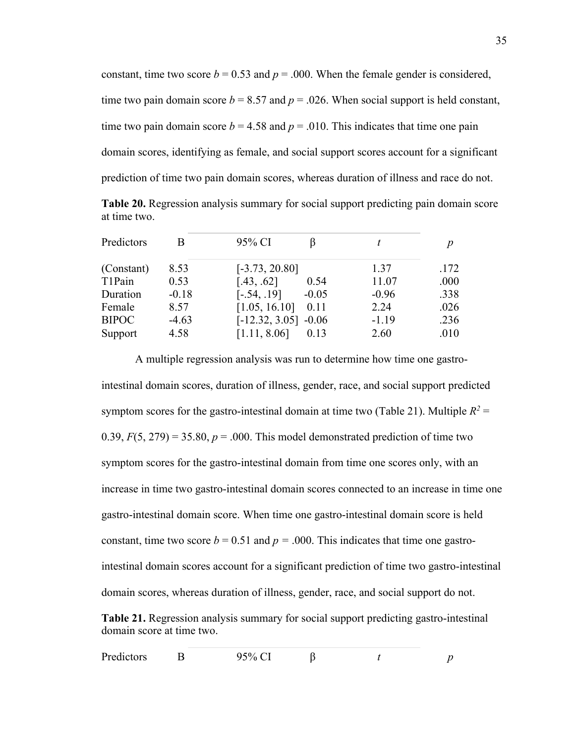| constant, time two score $b = 0.53$ and $p = .000$ . When the female gender is considered,   |
|----------------------------------------------------------------------------------------------|
| time two pain domain score $b = 8.57$ and $p = .026$ . When social support is held constant, |
| time two pain domain score $b = 4.58$ and $p = .010$ . This indicates that time one pain     |
| domain scores, identifying as female, and social support scores account for a significant    |
| prediction of time two pain domain scores, whereas duration of illness and race do not.      |

**Table 20.** Regression analysis summary for social support predicting pain domain score at time two.

| Predictors   | B       | 95% CI                   |         | D    |
|--------------|---------|--------------------------|---------|------|
| (Constant)   | 8.53    | $[-3.73, 20.80]$         | 1.37    | .172 |
| T1Pain       | 0.53    | [.43, .62]<br>0.54       | 11.07   | .000 |
| Duration     | $-0.18$ | $[-.54, .19]$<br>$-0.05$ | $-0.96$ | .338 |
| Female       | 8.57    | [1.05, 16.10]<br>0.11    | 2.24    | .026 |
| <b>BIPOC</b> | $-4.63$ | $[-12.32, 3.05] -0.06$   | $-1.19$ | .236 |
| Support      | 4.58    | [1.11, 8.06]<br>0.13     | 2.60    | .010 |

A multiple regression analysis was run to determine how time one gastrointestinal domain scores, duration of illness, gender, race, and social support predicted symptom scores for the gastro-intestinal domain at time two (Table 21). Multiple  $R^2$  = 0.39,  $F(5, 279) = 35.80$ ,  $p = .000$ . This model demonstrated prediction of time two symptom scores for the gastro-intestinal domain from time one scores only, with an increase in time two gastro-intestinal domain scores connected to an increase in time one gastro-intestinal domain score. When time one gastro-intestinal domain score is held constant, time two score  $b = 0.51$  and  $p = .000$ . This indicates that time one gastrointestinal domain scores account for a significant prediction of time two gastro-intestinal domain scores, whereas duration of illness, gender, race, and social support do not. **Table 21.** Regression analysis summary for social support predicting gastro-intestinal domain score at time two.

| Predictors<br>95% CI |  |  |  |  |  |
|----------------------|--|--|--|--|--|
|----------------------|--|--|--|--|--|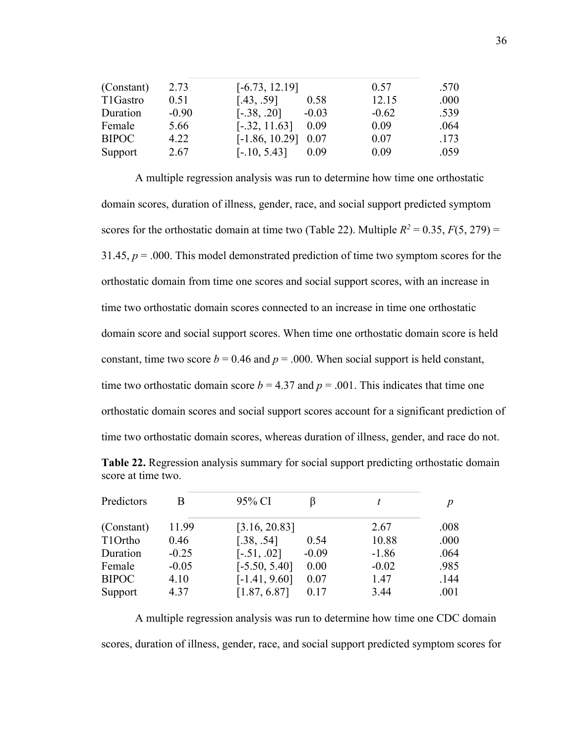| (Constant)   | 2.73    | $[-6.73, 12.19]$         | 0.57    | .570 |
|--------------|---------|--------------------------|---------|------|
| T1Gastro     | 0.51    | [.43, .59]<br>0.58       | 12.15   | .000 |
| Duration     | $-0.90$ | $[-.38, .20]$<br>$-0.03$ | $-0.62$ | .539 |
| Female       | 5.66    | $[-.32, 11.63]$<br>0.09  | 0.09    | .064 |
| <b>BIPOC</b> | 4.22    | $[-1.86, 10.29]$<br>0.07 | 0.07    | .173 |
| Support      | 2.67    | $[-.10, 5.43]$<br>0.09   | 0.09    | .059 |

A multiple regression analysis was run to determine how time one orthostatic domain scores, duration of illness, gender, race, and social support predicted symptom scores for the orthostatic domain at time two (Table 22). Multiple  $R^2 = 0.35$ ,  $F(5, 279) =$ 31.45, *p* = .000. This model demonstrated prediction of time two symptom scores for the orthostatic domain from time one scores and social support scores, with an increase in time two orthostatic domain scores connected to an increase in time one orthostatic domain score and social support scores. When time one orthostatic domain score is held constant, time two score  $b = 0.46$  and  $p = .000$ . When social support is held constant, time two orthostatic domain score  $b = 4.37$  and  $p = .001$ . This indicates that time one orthostatic domain scores and social support scores account for a significant prediction of time two orthostatic domain scores, whereas duration of illness, gender, and race do not.

| Table 22. Regression analysis summary for social support predicting orthostatic domain |  |  |  |
|----------------------------------------------------------------------------------------|--|--|--|
| score at time two.                                                                     |  |  |  |

| Predictors   | В       | 95% CI          |         | t       | D    |
|--------------|---------|-----------------|---------|---------|------|
| (Constant)   | 11.99   | [3.16, 20.83]   |         | 2.67    | .008 |
| T1Ortho      | 0.46    | [.38, .54]      | 0.54    | 10.88   | .000 |
| Duration     | $-0.25$ | $[-.51, .02]$   | $-0.09$ | $-1.86$ | .064 |
| Female       | $-0.05$ | $[-5.50, 5.40]$ | 0.00    | $-0.02$ | .985 |
| <b>BIPOC</b> | 4.10    | $[-1.41, 9.60]$ | 0.07    | 1.47    | .144 |
| Support      | 4.37    | [1.87, 6.87]    | 0.17    | 3.44    | .001 |

A multiple regression analysis was run to determine how time one CDC domain scores, duration of illness, gender, race, and social support predicted symptom scores for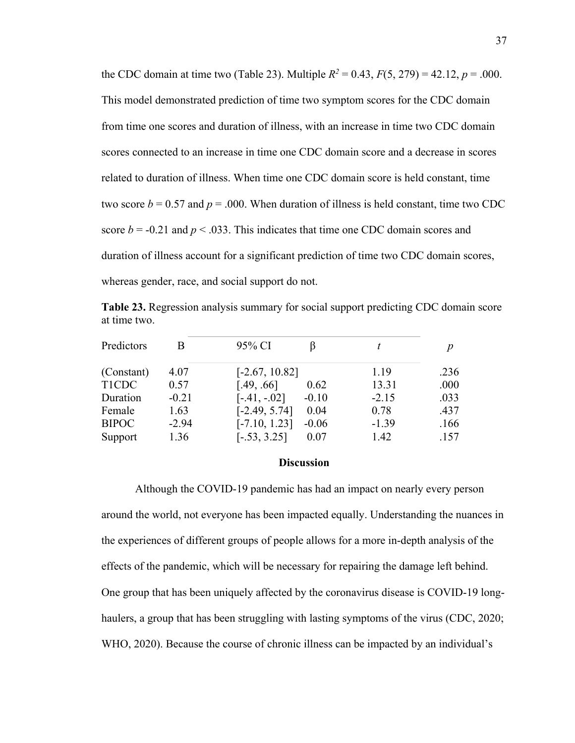the CDC domain at time two (Table 23). Multiple  $R^2 = 0.43$ ,  $F(5, 279) = 42.12$ ,  $p = .000$ . This model demonstrated prediction of time two symptom scores for the CDC domain from time one scores and duration of illness, with an increase in time two CDC domain scores connected to an increase in time one CDC domain score and a decrease in scores related to duration of illness. When time one CDC domain score is held constant, time two score  $b = 0.57$  and  $p = .000$ . When duration of illness is held constant, time two CDC score  $b = -0.21$  and  $p < .033$ . This indicates that time one CDC domain scores and duration of illness account for a significant prediction of time two CDC domain scores, whereas gender, race, and social support do not.

**Table 23.** Regression analysis summary for social support predicting CDC domain score at time two.

| Predictors   | B       | 95% CI                     |         | n    |
|--------------|---------|----------------------------|---------|------|
| (Constant)   | 4.07    | $[-2.67, 10.82]$           | 1.19    | .236 |
| <b>T1CDC</b> | 0.57    | [.49, .66]<br>0.62         | 13.31   | .000 |
| Duration     | $-0.21$ | $[-.41, -.02]$<br>$-0.10$  | $-2.15$ | .033 |
| Female       | 1.63    | $[-2.49, 5.74]$<br>0.04    | 0.78    | .437 |
| <b>BIPOC</b> | $-2.94$ | $[-7.10, 1.23]$<br>$-0.06$ | $-1.39$ | .166 |
| Support      | 1.36    | $[-.53, 3.25]$<br>0.07     | 1.42    | .157 |

#### **Discussion**

Although the COVID-19 pandemic has had an impact on nearly every person around the world, not everyone has been impacted equally. Understanding the nuances in the experiences of different groups of people allows for a more in-depth analysis of the effects of the pandemic, which will be necessary for repairing the damage left behind. One group that has been uniquely affected by the coronavirus disease is COVID-19 longhaulers, a group that has been struggling with lasting symptoms of the virus (CDC, 2020; WHO, 2020). Because the course of chronic illness can be impacted by an individual's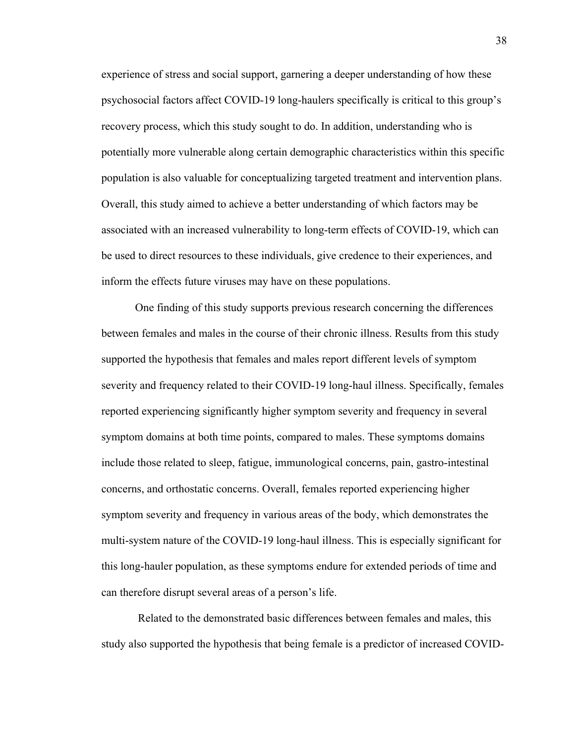experience of stress and social support, garnering a deeper understanding of how these psychosocial factors affect COVID-19 long-haulers specifically is critical to this group's recovery process, which this study sought to do. In addition, understanding who is potentially more vulnerable along certain demographic characteristics within this specific population is also valuable for conceptualizing targeted treatment and intervention plans. Overall, this study aimed to achieve a better understanding of which factors may be associated with an increased vulnerability to long-term effects of COVID-19, which can be used to direct resources to these individuals, give credence to their experiences, and inform the effects future viruses may have on these populations.

One finding of this study supports previous research concerning the differences between females and males in the course of their chronic illness. Results from this study supported the hypothesis that females and males report different levels of symptom severity and frequency related to their COVID-19 long-haul illness. Specifically, females reported experiencing significantly higher symptom severity and frequency in several symptom domains at both time points, compared to males. These symptoms domains include those related to sleep, fatigue, immunological concerns, pain, gastro-intestinal concerns, and orthostatic concerns. Overall, females reported experiencing higher symptom severity and frequency in various areas of the body, which demonstrates the multi-system nature of the COVID-19 long-haul illness. This is especially significant for this long-hauler population, as these symptoms endure for extended periods of time and can therefore disrupt several areas of a person's life.

Related to the demonstrated basic differences between females and males, this study also supported the hypothesis that being female is a predictor of increased COVID-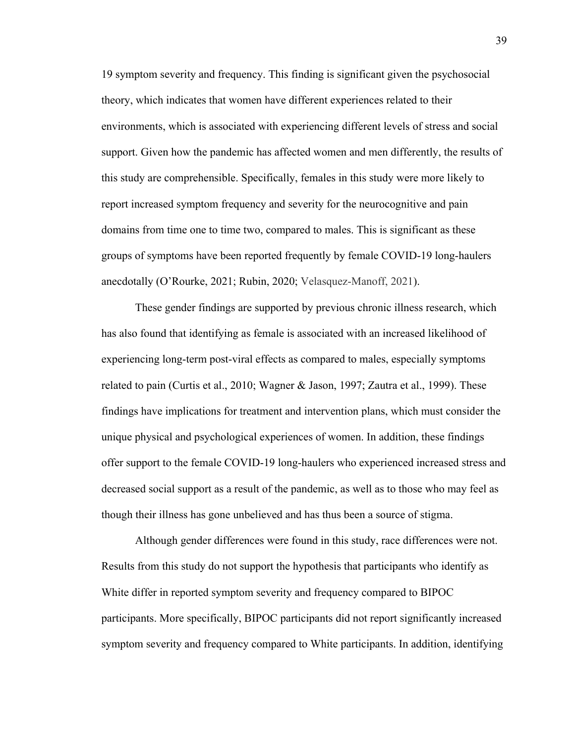19 symptom severity and frequency. This finding is significant given the psychosocial theory, which indicates that women have different experiences related to their environments, which is associated with experiencing different levels of stress and social support. Given how the pandemic has affected women and men differently, the results of this study are comprehensible. Specifically, females in this study were more likely to report increased symptom frequency and severity for the neurocognitive and pain domains from time one to time two, compared to males. This is significant as these groups of symptoms have been reported frequently by female COVID-19 long-haulers anecdotally (O'Rourke, 2021; Rubin, 2020; Velasquez-Manoff, 2021).

These gender findings are supported by previous chronic illness research, which has also found that identifying as female is associated with an increased likelihood of experiencing long-term post-viral effects as compared to males, especially symptoms related to pain (Curtis et al., 2010; Wagner & Jason, 1997; Zautra et al., 1999). These findings have implications for treatment and intervention plans, which must consider the unique physical and psychological experiences of women. In addition, these findings offer support to the female COVID-19 long-haulers who experienced increased stress and decreased social support as a result of the pandemic, as well as to those who may feel as though their illness has gone unbelieved and has thus been a source of stigma.

Although gender differences were found in this study, race differences were not. Results from this study do not support the hypothesis that participants who identify as White differ in reported symptom severity and frequency compared to BIPOC participants. More specifically, BIPOC participants did not report significantly increased symptom severity and frequency compared to White participants. In addition, identifying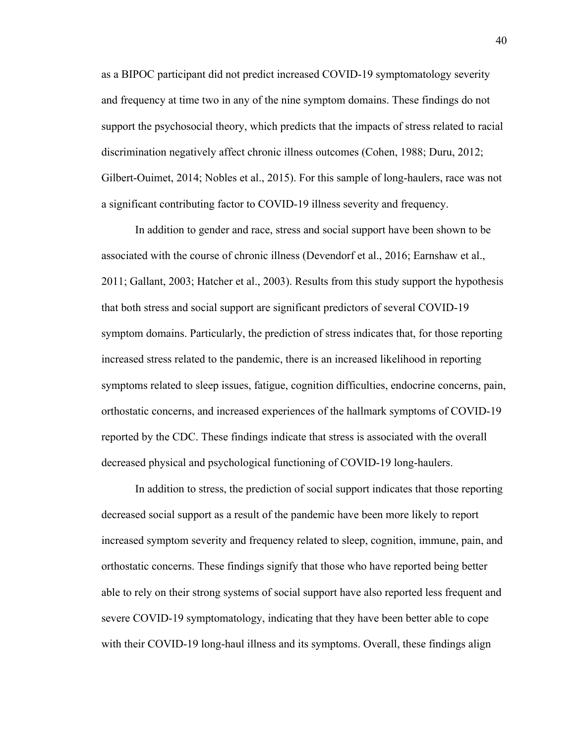as a BIPOC participant did not predict increased COVID-19 symptomatology severity and frequency at time two in any of the nine symptom domains. These findings do not support the psychosocial theory, which predicts that the impacts of stress related to racial discrimination negatively affect chronic illness outcomes (Cohen, 1988; Duru, 2012; Gilbert-Ouimet, 2014; Nobles et al., 2015). For this sample of long-haulers, race was not a significant contributing factor to COVID-19 illness severity and frequency.

In addition to gender and race, stress and social support have been shown to be associated with the course of chronic illness (Devendorf et al., 2016; Earnshaw et al., 2011; Gallant, 2003; Hatcher et al., 2003). Results from this study support the hypothesis that both stress and social support are significant predictors of several COVID-19 symptom domains. Particularly, the prediction of stress indicates that, for those reporting increased stress related to the pandemic, there is an increased likelihood in reporting symptoms related to sleep issues, fatigue, cognition difficulties, endocrine concerns, pain, orthostatic concerns, and increased experiences of the hallmark symptoms of COVID-19 reported by the CDC. These findings indicate that stress is associated with the overall decreased physical and psychological functioning of COVID-19 long-haulers.

In addition to stress, the prediction of social support indicates that those reporting decreased social support as a result of the pandemic have been more likely to report increased symptom severity and frequency related to sleep, cognition, immune, pain, and orthostatic concerns. These findings signify that those who have reported being better able to rely on their strong systems of social support have also reported less frequent and severe COVID-19 symptomatology, indicating that they have been better able to cope with their COVID-19 long-haul illness and its symptoms. Overall, these findings align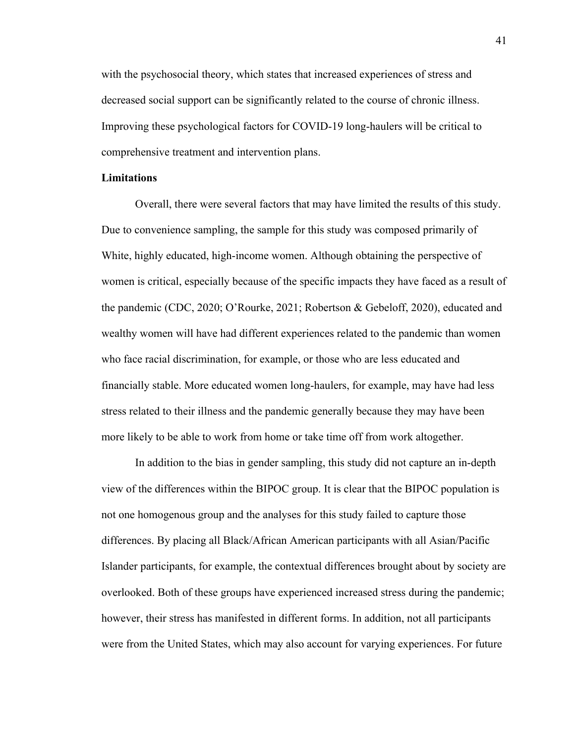with the psychosocial theory, which states that increased experiences of stress and decreased social support can be significantly related to the course of chronic illness. Improving these psychological factors for COVID-19 long-haulers will be critical to comprehensive treatment and intervention plans.

#### **Limitations**

Overall, there were several factors that may have limited the results of this study. Due to convenience sampling, the sample for this study was composed primarily of White, highly educated, high-income women. Although obtaining the perspective of women is critical, especially because of the specific impacts they have faced as a result of the pandemic (CDC, 2020; O'Rourke, 2021; Robertson & Gebeloff, 2020), educated and wealthy women will have had different experiences related to the pandemic than women who face racial discrimination, for example, or those who are less educated and financially stable. More educated women long-haulers, for example, may have had less stress related to their illness and the pandemic generally because they may have been more likely to be able to work from home or take time off from work altogether.

In addition to the bias in gender sampling, this study did not capture an in-depth view of the differences within the BIPOC group. It is clear that the BIPOC population is not one homogenous group and the analyses for this study failed to capture those differences. By placing all Black/African American participants with all Asian/Pacific Islander participants, for example, the contextual differences brought about by society are overlooked. Both of these groups have experienced increased stress during the pandemic; however, their stress has manifested in different forms. In addition, not all participants were from the United States, which may also account for varying experiences. For future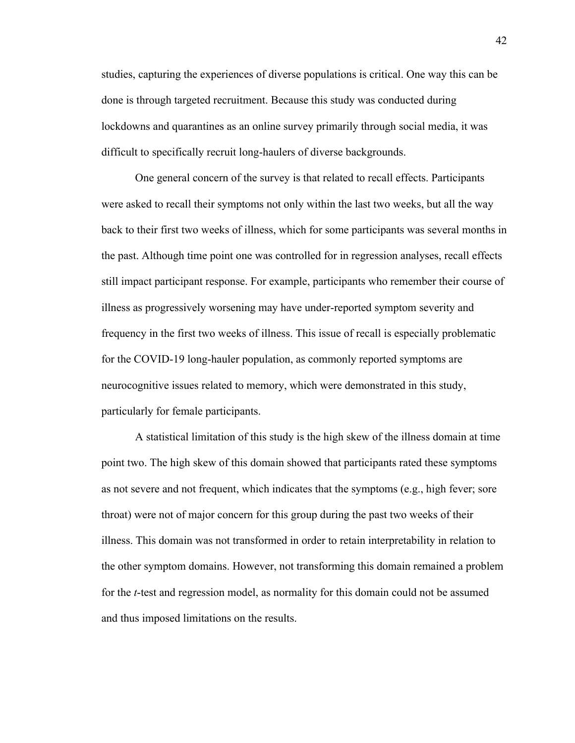studies, capturing the experiences of diverse populations is critical. One way this can be done is through targeted recruitment. Because this study was conducted during lockdowns and quarantines as an online survey primarily through social media, it was difficult to specifically recruit long-haulers of diverse backgrounds.

One general concern of the survey is that related to recall effects. Participants were asked to recall their symptoms not only within the last two weeks, but all the way back to their first two weeks of illness, which for some participants was several months in the past. Although time point one was controlled for in regression analyses, recall effects still impact participant response. For example, participants who remember their course of illness as progressively worsening may have under-reported symptom severity and frequency in the first two weeks of illness. This issue of recall is especially problematic for the COVID-19 long-hauler population, as commonly reported symptoms are neurocognitive issues related to memory, which were demonstrated in this study, particularly for female participants.

A statistical limitation of this study is the high skew of the illness domain at time point two. The high skew of this domain showed that participants rated these symptoms as not severe and not frequent, which indicates that the symptoms (e.g., high fever; sore throat) were not of major concern for this group during the past two weeks of their illness. This domain was not transformed in order to retain interpretability in relation to the other symptom domains. However, not transforming this domain remained a problem for the *t*-test and regression model, as normality for this domain could not be assumed and thus imposed limitations on the results.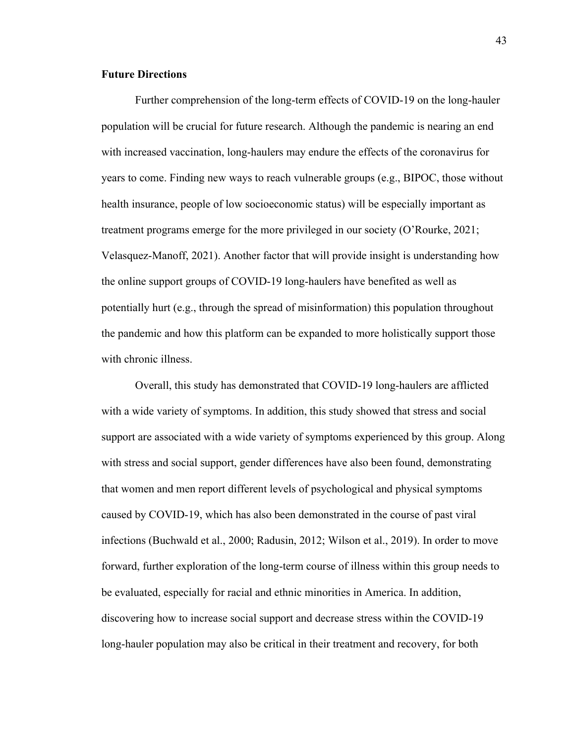#### **Future Directions**

Further comprehension of the long-term effects of COVID-19 on the long-hauler population will be crucial for future research. Although the pandemic is nearing an end with increased vaccination, long-haulers may endure the effects of the coronavirus for years to come. Finding new ways to reach vulnerable groups (e.g., BIPOC, those without health insurance, people of low socioeconomic status) will be especially important as treatment programs emerge for the more privileged in our society (O'Rourke, 2021; Velasquez-Manoff, 2021). Another factor that will provide insight is understanding how the online support groups of COVID-19 long-haulers have benefited as well as potentially hurt (e.g., through the spread of misinformation) this population throughout the pandemic and how this platform can be expanded to more holistically support those with chronic illness.

Overall, this study has demonstrated that COVID-19 long-haulers are afflicted with a wide variety of symptoms. In addition, this study showed that stress and social support are associated with a wide variety of symptoms experienced by this group. Along with stress and social support, gender differences have also been found, demonstrating that women and men report different levels of psychological and physical symptoms caused by COVID-19, which has also been demonstrated in the course of past viral infections (Buchwald et al., 2000; Radusin, 2012; Wilson et al., 2019). In order to move forward, further exploration of the long-term course of illness within this group needs to be evaluated, especially for racial and ethnic minorities in America. In addition, discovering how to increase social support and decrease stress within the COVID-19 long-hauler population may also be critical in their treatment and recovery, for both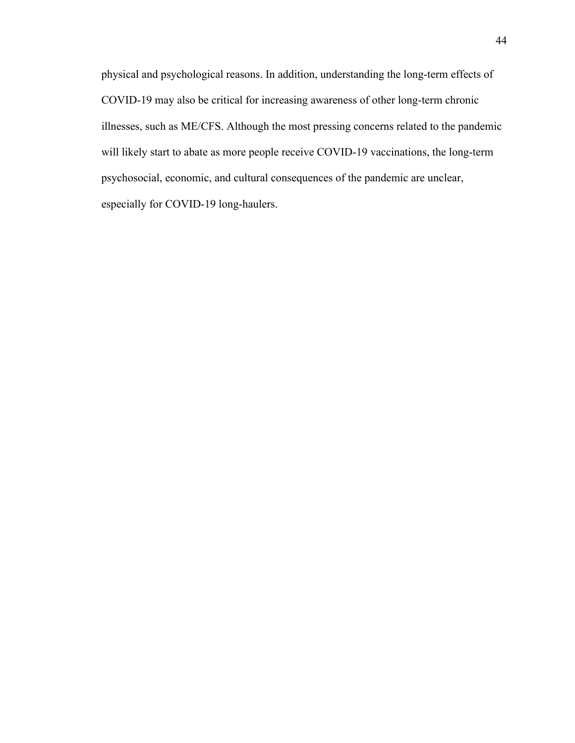physical and psychological reasons. In addition, understanding the long-term effects of COVID-19 may also be critical for increasing awareness of other long-term chronic illnesses, such as ME/CFS. Although the most pressing concerns related to the pandemic will likely start to abate as more people receive COVID-19 vaccinations, the long-term psychosocial, economic, and cultural consequences of the pandemic are unclear, especially for COVID-19 long-haulers.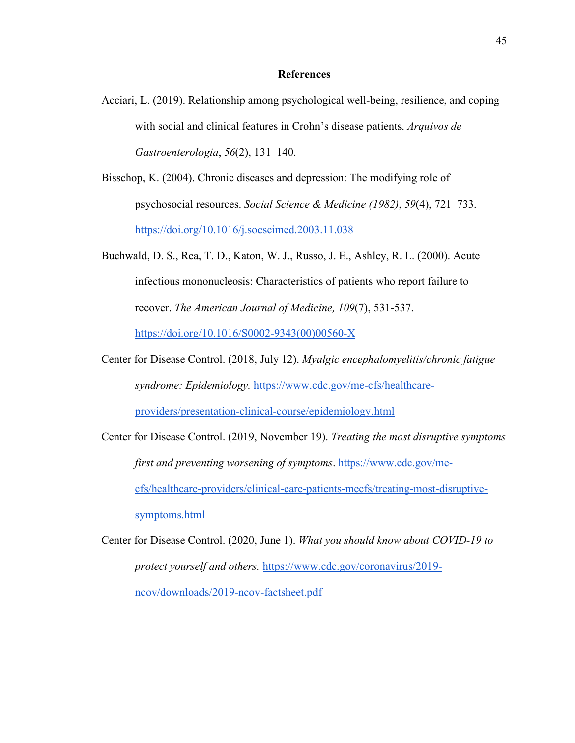#### **References**

- Acciari, L. (2019). Relationship among psychological well-being, resilience, and coping with social and clinical features in Crohn's disease patients. *Arquivos de Gastroenterologia*, *56*(2), 131–140.
- Bisschop, K. (2004). Chronic diseases and depression: The modifying role of psychosocial resources. *Social Science & Medicine (1982)*, *59*(4), 721–733. https://doi.org/10.1016/j.socscimed.2003.11.038
- Buchwald, D. S., Rea, T. D., Katon, W. J., Russo, J. E., Ashley, R. L. (2000). Acute infectious mononucleosis: Characteristics of patients who report failure to recover. *The American Journal of Medicine, 109*(7), 531-537. https://doi.org/10.1016/S0002-9343(00)00560-X
- Center for Disease Control. (2018, July 12). *Myalgic encephalomyelitis/chronic fatigue syndrome: Epidemiology.* https://www.cdc.gov/me-cfs/healthcareproviders/presentation-clinical-course/epidemiology.html
- Center for Disease Control. (2019, November 19). *Treating the most disruptive symptoms first and preventing worsening of symptoms*. https://www.cdc.gov/mecfs/healthcare-providers/clinical-care-patients-mecfs/treating-most-disruptivesymptoms.html
- Center for Disease Control. (2020, June 1). *What you should know about COVID-19 to protect yourself and others.* https://www.cdc.gov/coronavirus/2019 ncov/downloads/2019-ncov-factsheet.pdf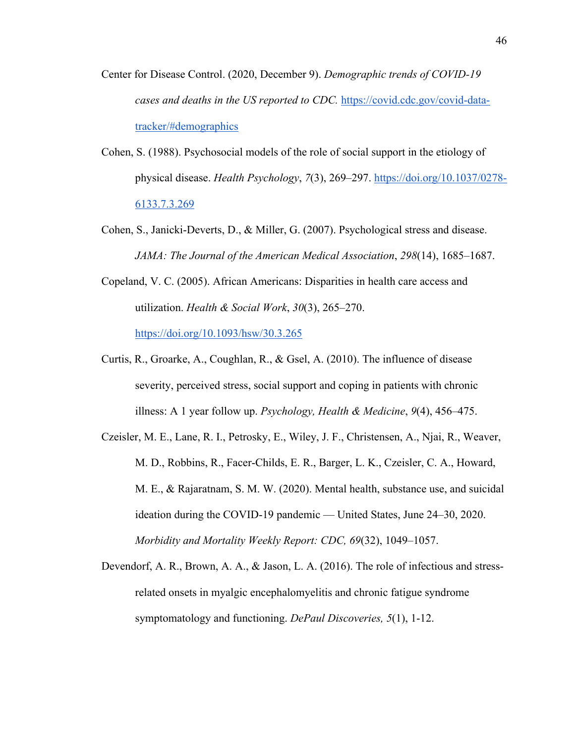- Center for Disease Control. (2020, December 9). *Demographic trends of COVID-19 cases and deaths in the US reported to CDC.* https://covid.cdc.gov/covid-datatracker/#demographics
- Cohen, S. (1988). Psychosocial models of the role of social support in the etiology of physical disease. *Health Psychology*, *7*(3), 269–297. https://doi.org/10.1037/0278- 6133.7.3.269
- Cohen, S., Janicki-Deverts, D., & Miller, G. (2007). Psychological stress and disease. *JAMA: The Journal of the American Medical Association*, *298*(14), 1685–1687.
- Copeland, V. C. (2005). African Americans: Disparities in health care access and utilization. *Health & Social Work*, *30*(3), 265–270. https://doi.org/10.1093/hsw/30.3.265
- Curtis, R., Groarke, A., Coughlan, R., & Gsel, A. (2010). The influence of disease severity, perceived stress, social support and coping in patients with chronic illness: A 1 year follow up. *Psychology, Health & Medicine*, *9*(4), 456–475.
- Czeisler, M. E., Lane, R. I., Petrosky, E., Wiley, J. F., Christensen, A., Njai, R., Weaver, M. D., Robbins, R., Facer-Childs, E. R., Barger, L. K., Czeisler, C. A., Howard, M. E., & Rajaratnam, S. M. W. (2020). Mental health, substance use, and suicidal ideation during the COVID-19 pandemic — United States, June 24–30, 2020. *Morbidity and Mortality Weekly Report: CDC, 69*(32), 1049–1057.
- Devendorf, A. R., Brown, A. A., & Jason, L. A. (2016). The role of infectious and stressrelated onsets in myalgic encephalomyelitis and chronic fatigue syndrome symptomatology and functioning. *DePaul Discoveries, 5*(1), 1-12.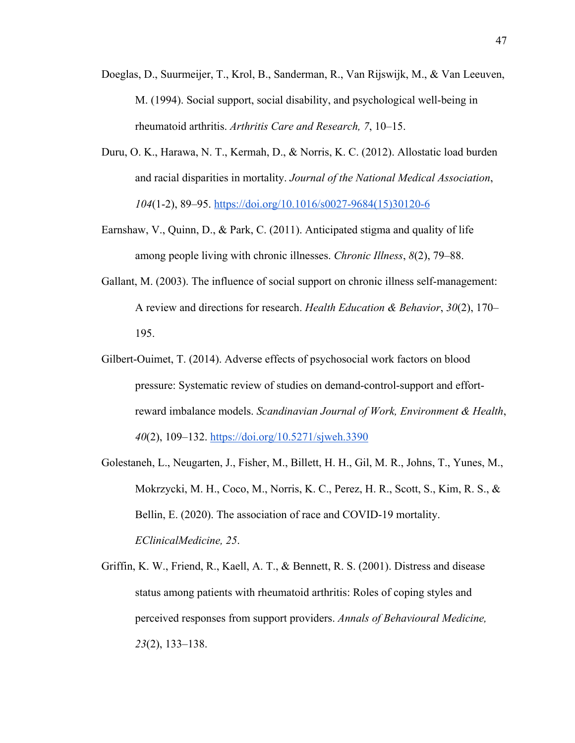- Doeglas, D., Suurmeijer, T., Krol, B., Sanderman, R., Van Rijswijk, M., & Van Leeuven, M. (1994). Social support, social disability, and psychological well-being in rheumatoid arthritis. *Arthritis Care and Research, 7*, 10–15.
- Duru, O. K., Harawa, N. T., Kermah, D., & Norris, K. C. (2012). Allostatic load burden and racial disparities in mortality. *Journal of the National Medical Association*, *104*(1-2), 89–95. https://doi.org/10.1016/s0027-9684(15)30120-6
- Earnshaw, V., Quinn, D., & Park, C. (2011). Anticipated stigma and quality of life among people living with chronic illnesses. *Chronic Illness*, *8*(2), 79–88.
- Gallant, M. (2003). The influence of social support on chronic illness self-management: A review and directions for research. *Health Education & Behavior*, *30*(2), 170– 195.
- Gilbert-Ouimet, T. (2014). Adverse effects of psychosocial work factors on blood pressure: Systematic review of studies on demand-control-support and effortreward imbalance models. *Scandinavian Journal of Work, Environment & Health*, *40*(2), 109–132. https://doi.org/10.5271/sjweh.3390
- Golestaneh, L., Neugarten, J., Fisher, M., Billett, H. H., Gil, M. R., Johns, T., Yunes, M., Mokrzycki, M. H., Coco, M., Norris, K. C., Perez, H. R., Scott, S., Kim, R. S., & Bellin, E. (2020). The association of race and COVID-19 mortality. *EClinicalMedicine, 25*.
- Griffin, K. W., Friend, R., Kaell, A. T., & Bennett, R. S. (2001). Distress and disease status among patients with rheumatoid arthritis: Roles of coping styles and perceived responses from support providers. *Annals of Behavioural Medicine, 23*(2), 133–138.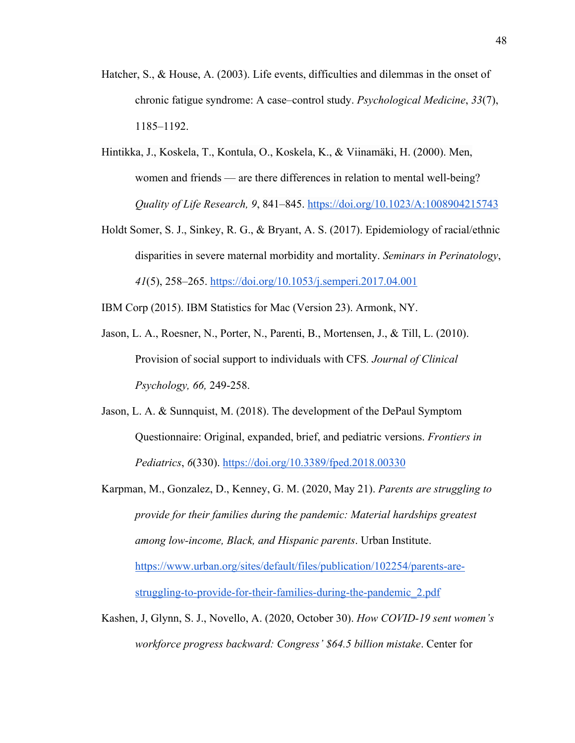- Hatcher, S., & House, A. (2003). Life events, difficulties and dilemmas in the onset of chronic fatigue syndrome: A case–control study. *Psychological Medicine*, *33*(7), 1185–1192.
- Hintikka, J., Koskela, T., Kontula, O., Koskela, K., & Viinamäki, H. (2000). Men, women and friends — are there differences in relation to mental well-being? *Quality of Life Research, 9*, 841–845. https://doi.org/10.1023/A:1008904215743
- Holdt Somer, S. J., Sinkey, R. G., & Bryant, A. S. (2017). Epidemiology of racial/ethnic disparities in severe maternal morbidity and mortality. *Seminars in Perinatology*, *41*(5), 258–265. https://doi.org/10.1053/j.semperi.2017.04.001

IBM Corp (2015). IBM Statistics for Mac (Version 23). Armonk, NY.

- Jason, L. A., Roesner, N., Porter, N., Parenti, B., Mortensen, J., & Till, L. (2010). Provision of social support to individuals with CFS*. Journal of Clinical Psychology, 66,* 249-258.
- Jason, L. A. & Sunnquist, M. (2018). The development of the DePaul Symptom Questionnaire: Original, expanded, brief, and pediatric versions. *Frontiers in Pediatrics*, *6*(330). https://doi.org/10.3389/fped.2018.00330
- Karpman, M., Gonzalez, D., Kenney, G. M. (2020, May 21). *Parents are struggling to provide for their families during the pandemic: Material hardships greatest among low-income, Black, and Hispanic parents*. Urban Institute. https://www.urban.org/sites/default/files/publication/102254/parents-arestruggling-to-provide-for-their-families-during-the-pandemic\_2.pdf
- Kashen, J, Glynn, S. J., Novello, A. (2020, October 30). *How COVID-19 sent women's workforce progress backward: Congress' \$64.5 billion mistake*. Center for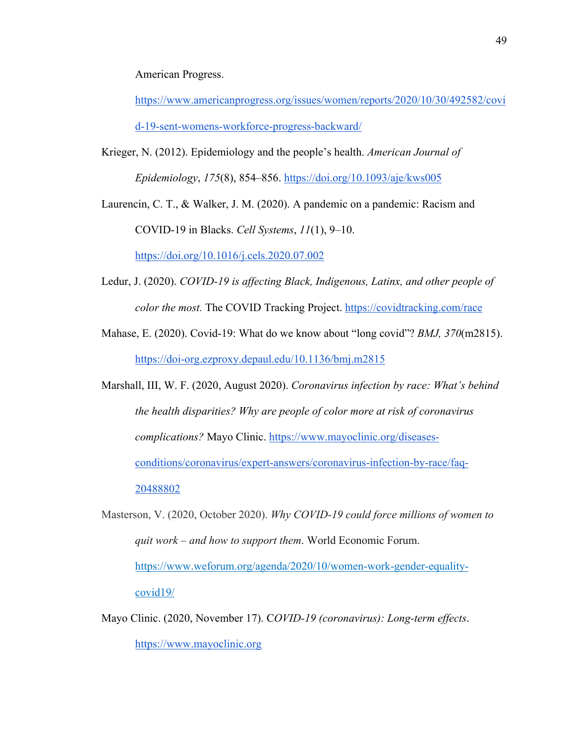American Progress.

https://www.americanprogress.org/issues/women/reports/2020/10/30/492582/covi d-19-sent-womens-workforce-progress-backward/

Krieger, N. (2012). Epidemiology and the people's health. *American Journal of Epidemiology*, *175*(8), 854–856. https://doi.org/10.1093/aje/kws005

Laurencin, C. T., & Walker, J. M. (2020). A pandemic on a pandemic: Racism and COVID-19 in Blacks. *Cell Systems*, *11*(1), 9–10.

https://doi.org/10.1016/j.cels.2020.07.002

- Ledur, J. (2020). *COVID-19 is affecting Black, Indigenous, Latinx, and other people of color the most.* The COVID Tracking Project. https://covidtracking.com/race
- Mahase, E. (2020). Covid-19: What do we know about "long covid"? *BMJ, 370*(m2815). https://doi-org.ezproxy.depaul.edu/10.1136/bmj.m2815

Marshall, III, W. F. (2020, August 2020). *Coronavirus infection by race: What's behind the health disparities? Why are people of color more at risk of coronavirus complications?* Mayo Clinic. https://www.mayoclinic.org/diseasesconditions/coronavirus/expert-answers/coronavirus-infection-by-race/faq-20488802

- Masterson, V. (2020, October 2020). *Why COVID-19 could force millions of women to quit work – and how to support them*. World Economic Forum. https://www.weforum.org/agenda/2020/10/women-work-gender-equalitycovid19/
- Mayo Clinic. (2020, November 17). C*OVID-19 (coronavirus): Long-term effects*. https://www.mayoclinic.org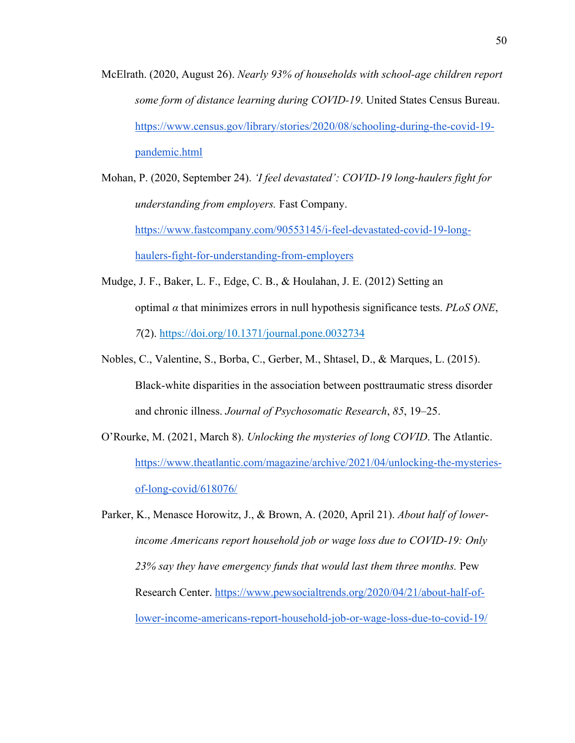- McElrath. (2020, August 26). *Nearly 93% of households with school-age children report some form of distance learning during COVID-19*. United States Census Bureau. https://www.census.gov/library/stories/2020/08/schooling-during-the-covid-19 pandemic.html
- Mohan, P. (2020, September 24). *'I feel devastated': COVID-19 long-haulers fight for understanding from employers.* Fast Company. https://www.fastcompany.com/90553145/i-feel-devastated-covid-19-longhaulers-fight-for-understanding-from-employers
- Mudge, J. F., Baker, L. F., Edge, C. B., & Houlahan, J. E. (2012) Setting an optimal *α* that minimizes errors in null hypothesis significance tests. *PLoS ONE*, *7*(2). https://doi.org/10.1371/journal.pone.0032734
- Nobles, C., Valentine, S., Borba, C., Gerber, M., Shtasel, D., & Marques, L. (2015). Black-white disparities in the association between posttraumatic stress disorder and chronic illness. *Journal of Psychosomatic Research*, *85*, 19–25.
- O'Rourke, M. (2021, March 8). *Unlocking the mysteries of long COVID*. The Atlantic. https://www.theatlantic.com/magazine/archive/2021/04/unlocking-the-mysteriesof-long-covid/618076/

Parker, K., Menasce Horowitz, J., & Brown, A. (2020, April 21). *About half of lowerincome Americans report household job or wage loss due to COVID-19: Only 23% say they have emergency funds that would last them three months.* Pew Research Center. https://www.pewsocialtrends.org/2020/04/21/about-half-oflower-income-americans-report-household-job-or-wage-loss-due-to-covid-19/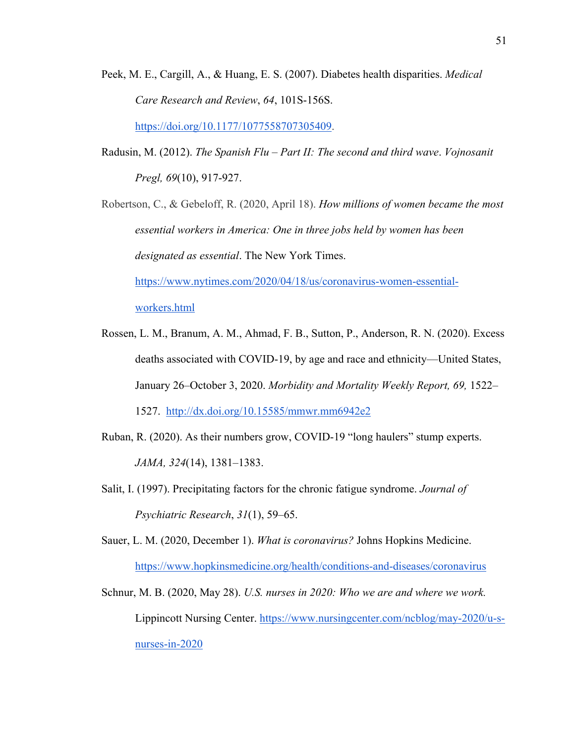- Peek, M. E., Cargill, A., & Huang, E. S. (2007). Diabetes health disparities. *Medical Care Research and Review*, *64*, 101S-156S. https://doi.org/10.1177/1077558707305409.
- Radusin, M. (2012). *The Spanish Flu – Part II: The second and third wave*. *Vojnosanit Pregl, 69*(10), 917-927.

Robertson, C., & Gebeloff, R. (2020, April 18). *How millions of women became the most essential workers in America: One in three jobs held by women has been designated as essential*. The New York Times. https://www.nytimes.com/2020/04/18/us/coronavirus-women-essentialworkers.html

- Rossen, L. M., Branum, A. M., Ahmad, F. B., Sutton, P., Anderson, R. N. (2020). Excess deaths associated with COVID-19, by age and race and ethnicity—United States, January 26–October 3, 2020. *Morbidity and Mortality Weekly Report, 69,* 1522– 1527. http://dx.doi.org/10.15585/mmwr.mm6942e2
- Ruban, R. (2020). As their numbers grow, COVID-19 "long haulers" stump experts. *JAMA, 324*(14), 1381–1383.
- Salit, I. (1997). Precipitating factors for the chronic fatigue syndrome. *Journal of Psychiatric Research*, *31*(1), 59–65.

Sauer, L. M. (2020, December 1). *What is coronavirus?* Johns Hopkins Medicine. https://www.hopkinsmedicine.org/health/conditions-and-diseases/coronavirus

Schnur, M. B. (2020, May 28). *U.S. nurses in 2020: Who we are and where we work.* Lippincott Nursing Center. https://www.nursingcenter.com/ncblog/may-2020/u-snurses-in-2020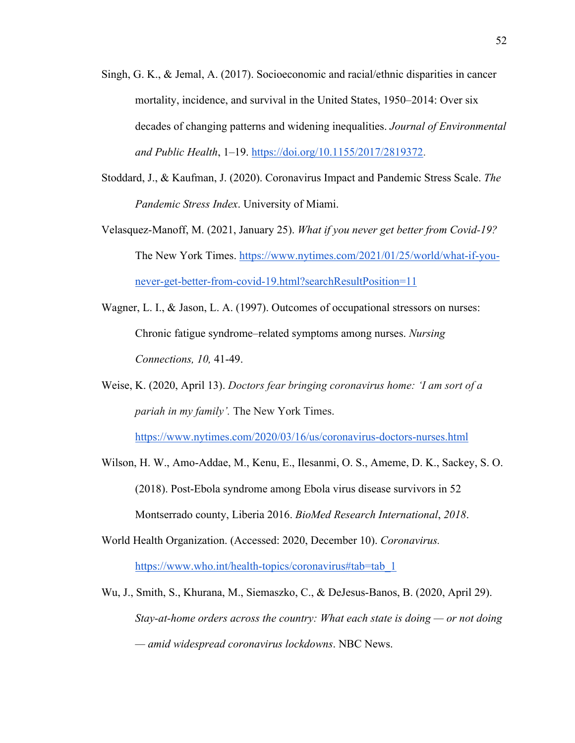- Singh, G. K., & Jemal, A. (2017). Socioeconomic and racial/ethnic disparities in cancer mortality, incidence, and survival in the United States, 1950–2014: Over six decades of changing patterns and widening inequalities. *Journal of Environmental and Public Health*, 1–19. https://doi.org/10.1155/2017/2819372.
- Stoddard, J., & Kaufman, J. (2020). Coronavirus Impact and Pandemic Stress Scale. *The Pandemic Stress Index*. University of Miami.
- Velasquez-Manoff, M. (2021, January 25). *What if you never get better from Covid-19?*  The New York Times. https://www.nytimes.com/2021/01/25/world/what-if-younever-get-better-from-covid-19.html?searchResultPosition=11
- Wagner, L. I., & Jason, L. A. (1997). Outcomes of occupational stressors on nurses: Chronic fatigue syndrome–related symptoms among nurses. *Nursing Connections, 10,* 41-49.
- Weise, K. (2020, April 13). *Doctors fear bringing coronavirus home: 'I am sort of a pariah in my family'.* The New York Times.

https://www.nytimes.com/2020/03/16/us/coronavirus-doctors-nurses.html

- Wilson, H. W., Amo-Addae, M., Kenu, E., Ilesanmi, O. S., Ameme, D. K., Sackey, S. O. (2018). Post-Ebola syndrome among Ebola virus disease survivors in 52 Montserrado county, Liberia 2016. *BioMed Research International*, *2018*.
- World Health Organization. (Accessed: 2020, December 10). *Coronavirus.*  https://www.who.int/health-topics/coronavirus#tab=tab\_1
- Wu, J., Smith, S., Khurana, M., Siemaszko, C., & DeJesus-Banos, B. (2020, April 29). *Stay-at-home orders across the country: What each state is doing — or not doing — amid widespread coronavirus lockdowns*. NBC News.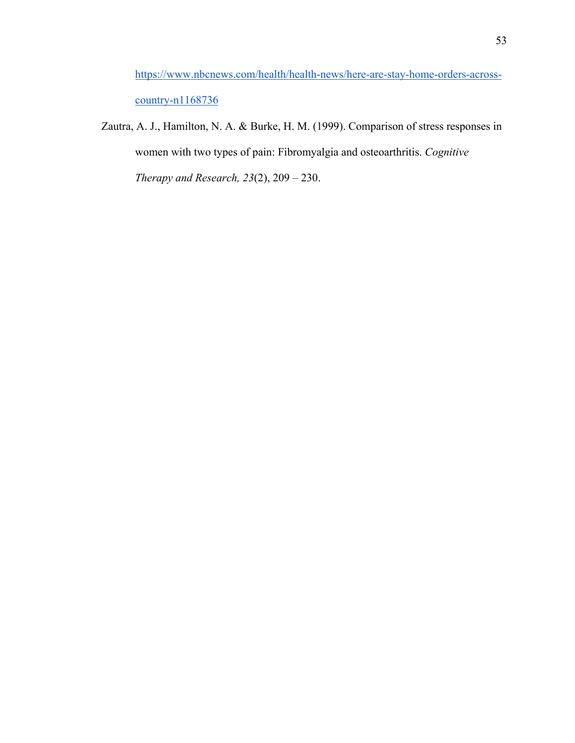https://www.nbcnews.com/health/health-news/here-are-stay-home-orders-acrosscountry-n1168736

Zautra, A. J., Hamilton, N. A. & Burke, H. M. (1999). Comparison of stress responses in women with two types of pain: Fibromyalgia and osteoarthritis. *Cognitive Therapy and Research, 23*(2), 209 – 230.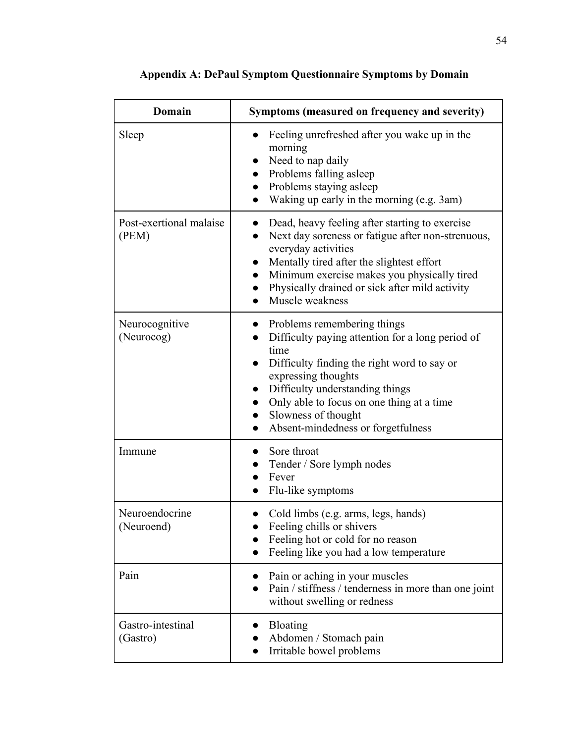| <b>Domain</b>                    | Symptoms (measured on frequency and severity)                                                                                                                                                                                                                                                                               |
|----------------------------------|-----------------------------------------------------------------------------------------------------------------------------------------------------------------------------------------------------------------------------------------------------------------------------------------------------------------------------|
| Sleep                            | Feeling unrefreshed after you wake up in the<br>morning<br>• Need to nap daily<br>Problems falling asleep<br>$\bullet$<br>Problems staying asleep<br>$\bullet$<br>Waking up early in the morning (e.g. 3am)                                                                                                                 |
| Post-exertional malaise<br>(PEM) | Dead, heavy feeling after starting to exercise<br>Next day soreness or fatigue after non-strenuous,<br>everyday activities<br>Mentally tired after the slightest effort<br>$\bullet$<br>Minimum exercise makes you physically tired<br>Physically drained or sick after mild activity<br>Muscle weakness                    |
| Neurocognitive<br>(Neurocog)     | • Problems remembering things<br>Difficulty paying attention for a long period of<br>time<br>Difficulty finding the right word to say or<br>expressing thoughts<br>Difficulty understanding things<br>$\bullet$<br>Only able to focus on one thing at a time<br>• Slowness of thought<br>Absent-mindedness or forgetfulness |
| Immune                           | Sore throat<br>$\bullet$<br>Tender / Sore lymph nodes<br>Fever<br>Flu-like symptoms                                                                                                                                                                                                                                         |
| Neuroendocrine<br>(Neuroend)     | Cold limbs (e.g. arms, legs, hands)<br>Feeling chills or shivers<br>Feeling hot or cold for no reason<br>Feeling like you had a low temperature                                                                                                                                                                             |
| Pain                             | Pain or aching in your muscles<br>Pain / stiffness / tenderness in more than one joint<br>without swelling or redness                                                                                                                                                                                                       |
| Gastro-intestinal<br>(Gastro)    | Bloating<br>Abdomen / Stomach pain<br>Irritable bowel problems<br>$\bullet$                                                                                                                                                                                                                                                 |

**Appendix A: DePaul Symptom Questionnaire Symptoms by Domain**